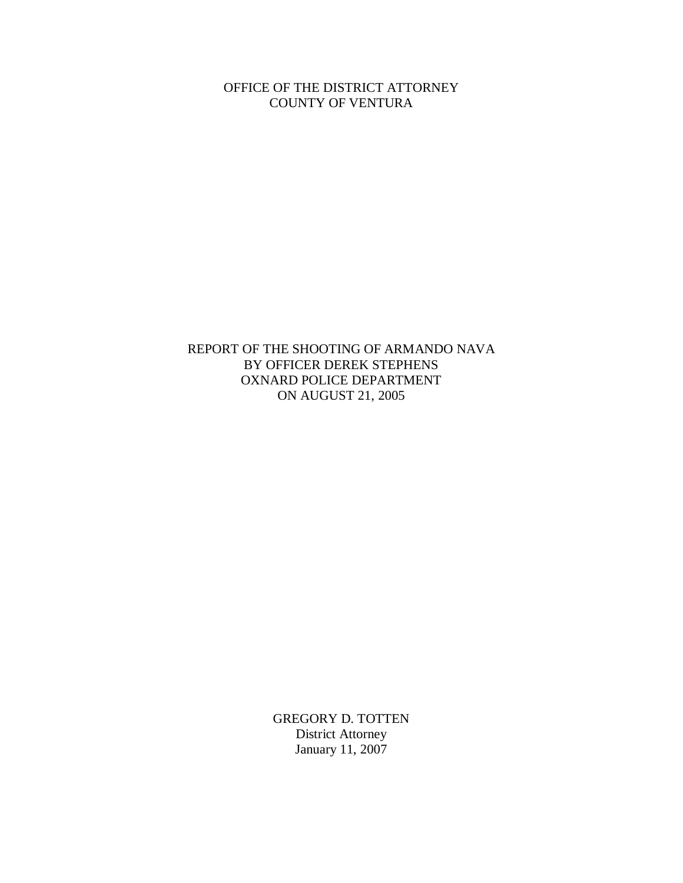OFFICE OF THE DISTRICT ATTORNEY COUNTY OF VENTURA

REPORT OF THE SHOOTING OF ARMANDO NAVA BY OFFICER DEREK STEPHENS OXNARD POLICE DEPARTMENT ON AUGUST 21, 2005

> GREGORY D. TOTTEN District Attorney January 11, 2007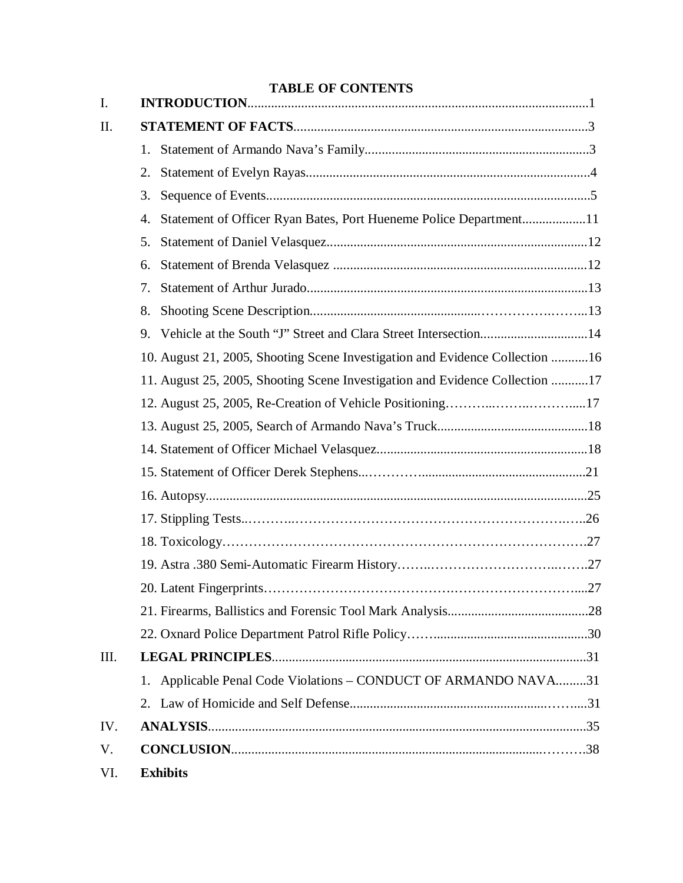# **TABLE OF CONTENTS**

| I.   |                                                                              |  |
|------|------------------------------------------------------------------------------|--|
| II.  |                                                                              |  |
|      | 1.                                                                           |  |
|      | 2.                                                                           |  |
|      | 3.                                                                           |  |
|      | Statement of Officer Ryan Bates, Port Hueneme Police Department11<br>4.      |  |
|      | 5.                                                                           |  |
|      | 6.                                                                           |  |
|      | 7.                                                                           |  |
|      | 8.                                                                           |  |
|      | Vehicle at the South "J" Street and Clara Street Intersection14<br>9.        |  |
|      | 10. August 21, 2005, Shooting Scene Investigation and Evidence Collection 16 |  |
|      | 11. August 25, 2005, Shooting Scene Investigation and Evidence Collection 17 |  |
|      |                                                                              |  |
|      |                                                                              |  |
|      |                                                                              |  |
|      |                                                                              |  |
|      |                                                                              |  |
|      |                                                                              |  |
|      |                                                                              |  |
|      |                                                                              |  |
|      |                                                                              |  |
|      |                                                                              |  |
|      |                                                                              |  |
| III. |                                                                              |  |
|      | 1. Applicable Penal Code Violations - CONDUCT OF ARMANDO NAVA31              |  |
|      |                                                                              |  |
| IV.  |                                                                              |  |
| V.   |                                                                              |  |
| VI.  | <b>Exhibits</b>                                                              |  |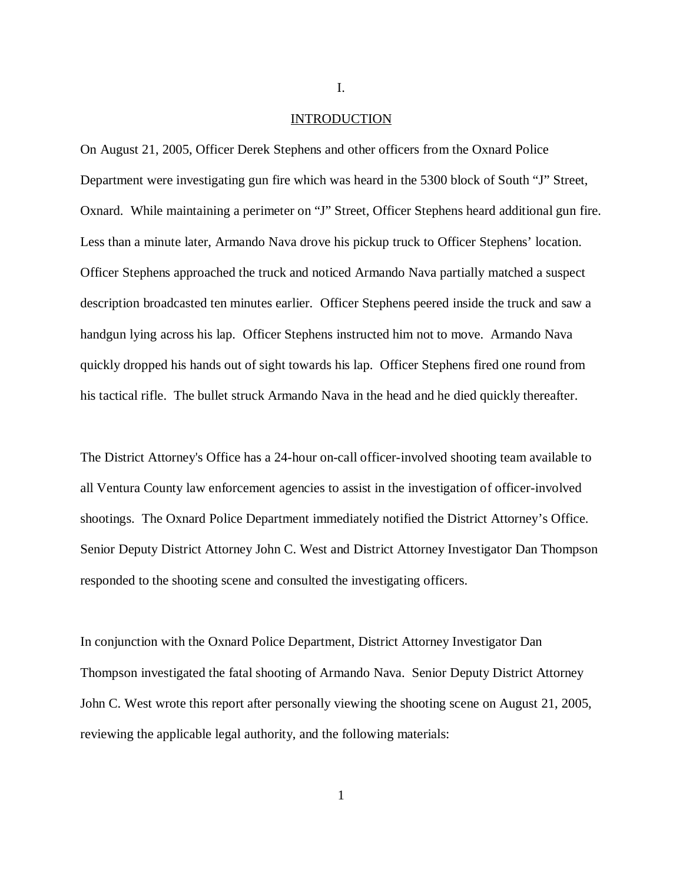## INTRODUCTION

On August 21, 2005, Officer Derek Stephens and other officers from the Oxnard Police Department were investigating gun fire which was heard in the 5300 block of South "J" Street, Oxnard. While maintaining a perimeter on "J" Street, Officer Stephens heard additional gun fire. Less than a minute later, Armando Nava drove his pickup truck to Officer Stephens' location. Officer Stephens approached the truck and noticed Armando Nava partially matched a suspect description broadcasted ten minutes earlier. Officer Stephens peered inside the truck and saw a handgun lying across his lap. Officer Stephens instructed him not to move. Armando Nava quickly dropped his hands out of sight towards his lap. Officer Stephens fired one round from his tactical rifle. The bullet struck Armando Nava in the head and he died quickly thereafter.

The District Attorney's Office has a 24-hour on-call officer-involved shooting team available to all Ventura County law enforcement agencies to assist in the investigation of officer-involved shootings. The Oxnard Police Department immediately notified the District Attorney's Office. Senior Deputy District Attorney John C. West and District Attorney Investigator Dan Thompson responded to the shooting scene and consulted the investigating officers.

In conjunction with the Oxnard Police Department, District Attorney Investigator Dan Thompson investigated the fatal shooting of Armando Nava. Senior Deputy District Attorney John C. West wrote this report after personally viewing the shooting scene on August 21, 2005, reviewing the applicable legal authority, and the following materials:

I.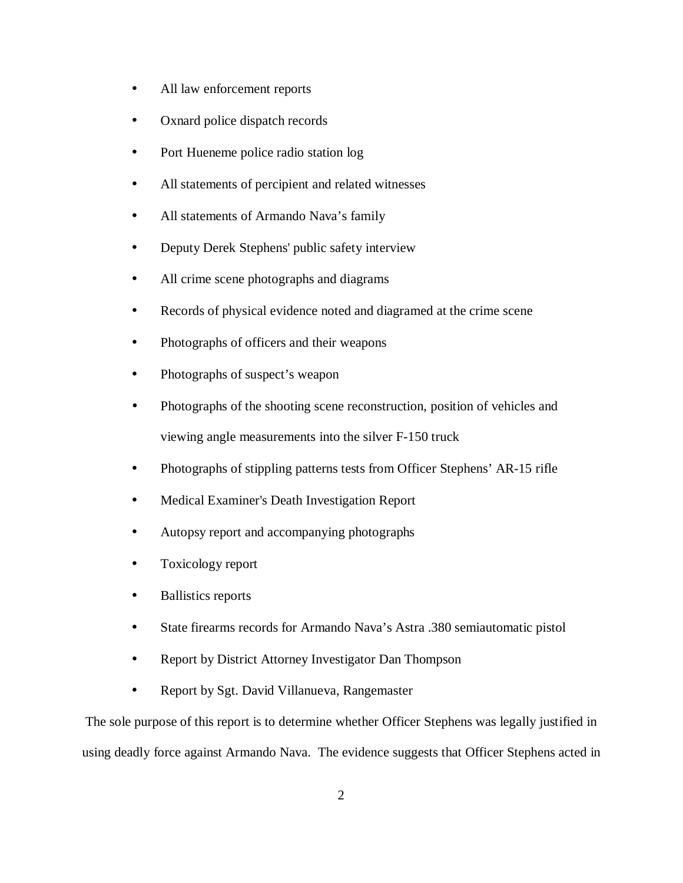- All law enforcement reports
- Oxnard police dispatch records
- Port Hueneme police radio station log
- All statements of percipient and related witnesses
- All statements of Armando Nava's family
- Deputy Derek Stephens' public safety interview
- All crime scene photographs and diagrams
- Records of physical evidence noted and diagramed at the crime scene
- Photographs of officers and their weapons
- Photographs of suspect's weapon
- Photographs of the shooting scene reconstruction, position of vehicles and viewing angle measurements into the silver F-150 truck
- Photographs of stippling patterns tests from Officer Stephens' AR-15 rifle
- Medical Examiner's Death Investigation Report
- Autopsy report and accompanying photographs
- Toxicology report
- Ballistics reports
- State firearms records for Armando Nava's Astra .380 semiautomatic pistol
- Report by District Attorney Investigator Dan Thompson
- Report by Sgt. David Villanueva, Rangemaster

The sole purpose of this report is to determine whether Officer Stephens was legally justified in using deadly force against Armando Nava. The evidence suggests that Officer Stephens acted in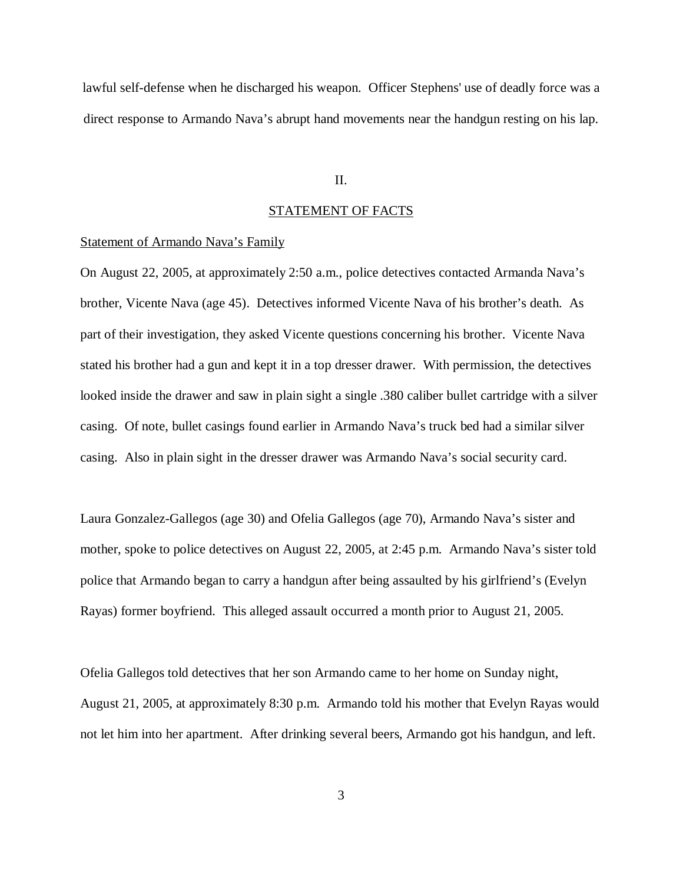lawful self-defense when he discharged his weapon. Officer Stephens' use of deadly force was a direct response to Armando Nava's abrupt hand movements near the handgun resting on his lap.

#### II.

## STATEMENT OF FACTS

#### Statement of Armando Nava's Family

On August 22, 2005, at approximately 2:50 a.m., police detectives contacted Armanda Nava's brother, Vicente Nava (age 45). Detectives informed Vicente Nava of his brother's death. As part of their investigation, they asked Vicente questions concerning his brother. Vicente Nava stated his brother had a gun and kept it in a top dresser drawer. With permission, the detectives looked inside the drawer and saw in plain sight a single .380 caliber bullet cartridge with a silver casing. Of note, bullet casings found earlier in Armando Nava's truck bed had a similar silver casing. Also in plain sight in the dresser drawer was Armando Nava's social security card.

Laura Gonzalez-Gallegos (age 30) and Ofelia Gallegos (age 70), Armando Nava's sister and mother, spoke to police detectives on August 22, 2005, at 2:45 p.m. Armando Nava's sister told police that Armando began to carry a handgun after being assaulted by his girlfriend's (Evelyn Rayas) former boyfriend. This alleged assault occurred a month prior to August 21, 2005.

Ofelia Gallegos told detectives that her son Armando came to her home on Sunday night, August 21, 2005, at approximately 8:30 p.m. Armando told his mother that Evelyn Rayas would not let him into her apartment. After drinking several beers, Armando got his handgun, and left.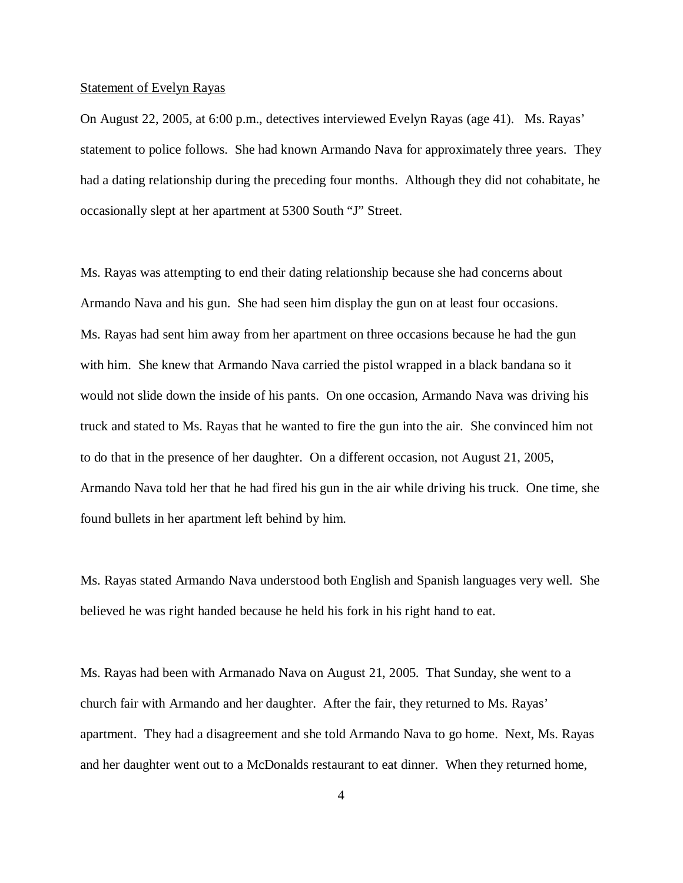#### Statement of Evelyn Rayas

On August 22, 2005, at 6:00 p.m., detectives interviewed Evelyn Rayas (age 41). Ms. Rayas' statement to police follows. She had known Armando Nava for approximately three years. They had a dating relationship during the preceding four months. Although they did not cohabitate, he occasionally slept at her apartment at 5300 South "J" Street.

Ms. Rayas was attempting to end their dating relationship because she had concerns about Armando Nava and his gun. She had seen him display the gun on at least four occasions. Ms. Rayas had sent him away from her apartment on three occasions because he had the gun with him. She knew that Armando Nava carried the pistol wrapped in a black bandana so it would not slide down the inside of his pants. On one occasion, Armando Nava was driving his truck and stated to Ms. Rayas that he wanted to fire the gun into the air. She convinced him not to do that in the presence of her daughter. On a different occasion, not August 21, 2005, Armando Nava told her that he had fired his gun in the air while driving his truck. One time, she found bullets in her apartment left behind by him.

Ms. Rayas stated Armando Nava understood both English and Spanish languages very well. She believed he was right handed because he held his fork in his right hand to eat.

Ms. Rayas had been with Armanado Nava on August 21, 2005. That Sunday, she went to a church fair with Armando and her daughter. After the fair, they returned to Ms. Rayas' apartment. They had a disagreement and she told Armando Nava to go home. Next, Ms. Rayas and her daughter went out to a McDonalds restaurant to eat dinner. When they returned home,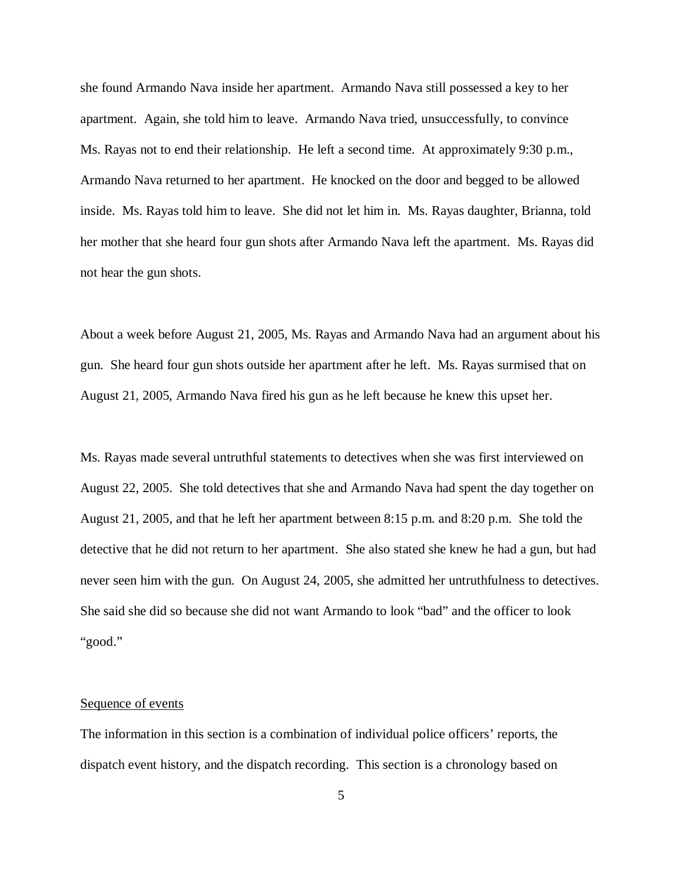she found Armando Nava inside her apartment. Armando Nava still possessed a key to her apartment. Again, she told him to leave. Armando Nava tried, unsuccessfully, to convince Ms. Rayas not to end their relationship. He left a second time. At approximately 9:30 p.m., Armando Nava returned to her apartment. He knocked on the door and begged to be allowed inside. Ms. Rayas told him to leave. She did not let him in. Ms. Rayas daughter, Brianna, told her mother that she heard four gun shots after Armando Nava left the apartment. Ms. Rayas did not hear the gun shots.

About a week before August 21, 2005, Ms. Rayas and Armando Nava had an argument about his gun. She heard four gun shots outside her apartment after he left. Ms. Rayas surmised that on August 21, 2005, Armando Nava fired his gun as he left because he knew this upset her.

Ms. Rayas made several untruthful statements to detectives when she was first interviewed on August 22, 2005. She told detectives that she and Armando Nava had spent the day together on August 21, 2005, and that he left her apartment between 8:15 p.m. and 8:20 p.m. She told the detective that he did not return to her apartment. She also stated she knew he had a gun, but had never seen him with the gun. On August 24, 2005, she admitted her untruthfulness to detectives. She said she did so because she did not want Armando to look "bad" and the officer to look "good."

## Sequence of events

The information in this section is a combination of individual police officers' reports, the dispatch event history, and the dispatch recording. This section is a chronology based on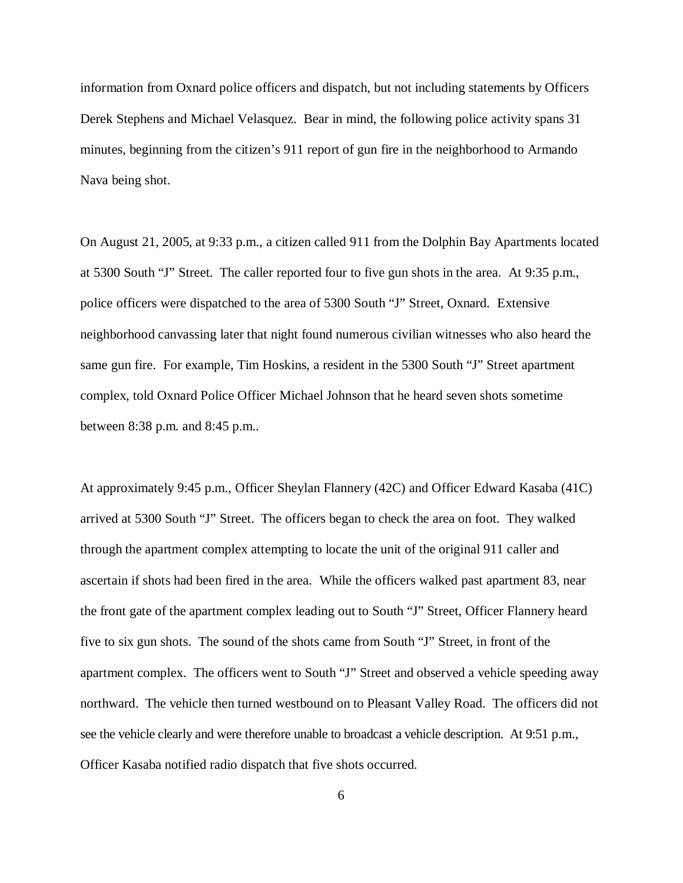information from Oxnard police officers and dispatch, but not including statements by Officers Derek Stephens and Michael Velasquez. Bear in mind, the following police activity spans 31 minutes, beginning from the citizen's 911 report of gun fire in the neighborhood to Armando Nava being shot.

On August 21, 2005, at 9:33 p.m., a citizen called 911 from the Dolphin Bay Apartments located at 5300 South "J" Street. The caller reported four to five gun shots in the area. At 9:35 p.m., police officers were dispatched to the area of 5300 South "J" Street, Oxnard. Extensive neighborhood canvassing later that night found numerous civilian witnesses who also heard the same gun fire. For example, Tim Hoskins, a resident in the 5300 South "J" Street apartment complex, told Oxnard Police Officer Michael Johnson that he heard seven shots sometime between 8:38 p.m. and 8:45 p.m..

At approximately 9:45 p.m., Officer Sheylan Flannery (42C) and Officer Edward Kasaba (41C) arrived at 5300 South "J" Street. The officers began to check the area on foot. They walked through the apartment complex attempting to locate the unit of the original 911 caller and ascertain if shots had been fired in the area. While the officers walked past apartment 83, near the front gate of the apartment complex leading out to South "J" Street, Officer Flannery heard five to six gun shots. The sound of the shots came from South "J" Street, in front of the apartment complex. The officers went to South "J" Street and observed a vehicle speeding away northward. The vehicle then turned westbound on to Pleasant Valley Road. The officers did not see the vehicle clearly and were therefore unable to broadcast a vehicle description. At 9:51 p.m., Officer Kasaba notified radio dispatch that five shots occurred.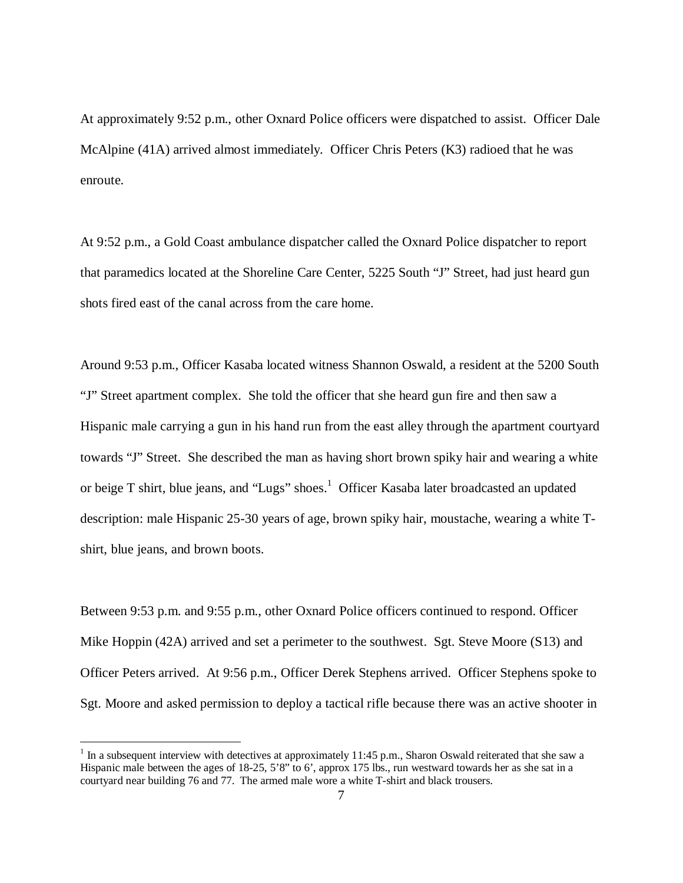At approximately 9:52 p.m., other Oxnard Police officers were dispatched to assist. Officer Dale McAlpine (41A) arrived almost immediately. Officer Chris Peters (K3) radioed that he was enroute.

At 9:52 p.m., a Gold Coast ambulance dispatcher called the Oxnard Police dispatcher to report that paramedics located at the Shoreline Care Center, 5225 South "J" Street, had just heard gun shots fired east of the canal across from the care home.

Around 9:53 p.m., Officer Kasaba located witness Shannon Oswald, a resident at the 5200 South "J" Street apartment complex. She told the officer that she heard gun fire and then saw a Hispanic male carrying a gun in his hand run from the east alley through the apartment courtyard towards "J" Street. She described the man as having short brown spiky hair and wearing a white or beige T shirt, blue jeans, and "Lugs" shoes.<sup>1</sup> Officer Kasaba later broadcasted an updated description: male Hispanic 25-30 years of age, brown spiky hair, moustache, wearing a white Tshirt, blue jeans, and brown boots.

Between 9:53 p.m. and 9:55 p.m., other Oxnard Police officers continued to respond. Officer Mike Hoppin (42A) arrived and set a perimeter to the southwest. Sgt. Steve Moore (S13) and Officer Peters arrived. At 9:56 p.m., Officer Derek Stephens arrived. Officer Stephens spoke to Sgt. Moore and asked permission to deploy a tactical rifle because there was an active shooter in

 $1$  In a subsequent interview with detectives at approximately 11:45 p.m., Sharon Oswald reiterated that she saw a Hispanic male between the ages of 18-25, 5'8" to 6', approx 175 lbs., run westward towards her as she sat in a courtyard near building 76 and 77. The armed male wore a white T-shirt and black trousers.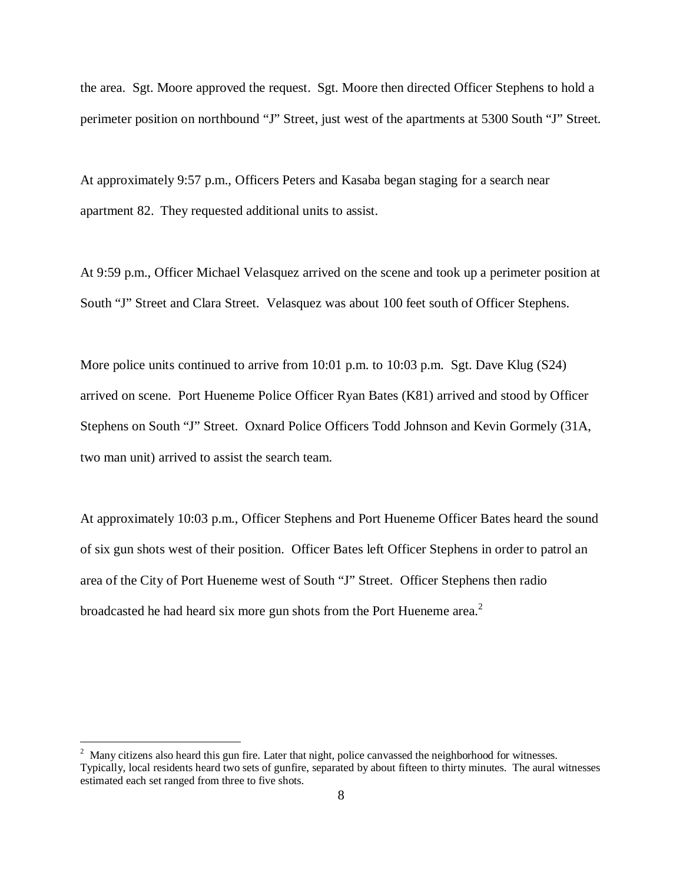the area. Sgt. Moore approved the request. Sgt. Moore then directed Officer Stephens to hold a perimeter position on northbound "J" Street, just west of the apartments at 5300 South "J" Street.

At approximately 9:57 p.m., Officers Peters and Kasaba began staging for a search near apartment 82. They requested additional units to assist.

At 9:59 p.m., Officer Michael Velasquez arrived on the scene and took up a perimeter position at South "J" Street and Clara Street. Velasquez was about 100 feet south of Officer Stephens.

More police units continued to arrive from 10:01 p.m. to 10:03 p.m. Sgt. Dave Klug (S24) arrived on scene. Port Hueneme Police Officer Ryan Bates (K81) arrived and stood by Officer Stephens on South "J" Street. Oxnard Police Officers Todd Johnson and Kevin Gormely (31A, two man unit) arrived to assist the search team.

At approximately 10:03 p.m., Officer Stephens and Port Hueneme Officer Bates heard the sound of six gun shots west of their position. Officer Bates left Officer Stephens in order to patrol an area of the City of Port Hueneme west of South "J" Street. Officer Stephens then radio broadcasted he had heard six more gun shots from the Port Hueneme area. $2$ 

<sup>2</sup> Many citizens also heard this gun fire. Later that night, police canvassed the neighborhood for witnesses. Typically, local residents heard two sets of gunfire, separated by about fifteen to thirty minutes. The aural witnesses estimated each set ranged from three to five shots.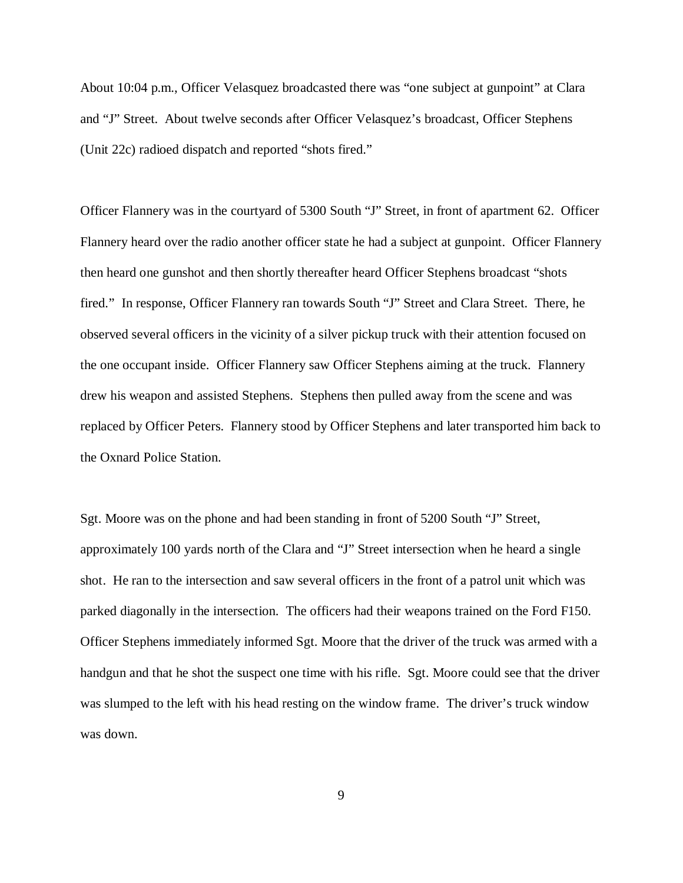About 10:04 p.m., Officer Velasquez broadcasted there was "one subject at gunpoint" at Clara and "J" Street. About twelve seconds after Officer Velasquez's broadcast, Officer Stephens (Unit 22c) radioed dispatch and reported "shots fired."

Officer Flannery was in the courtyard of 5300 South "J" Street, in front of apartment 62. Officer Flannery heard over the radio another officer state he had a subject at gunpoint. Officer Flannery then heard one gunshot and then shortly thereafter heard Officer Stephens broadcast "shots fired." In response, Officer Flannery ran towards South "J" Street and Clara Street. There, he observed several officers in the vicinity of a silver pickup truck with their attention focused on the one occupant inside. Officer Flannery saw Officer Stephens aiming at the truck. Flannery drew his weapon and assisted Stephens. Stephens then pulled away from the scene and was replaced by Officer Peters. Flannery stood by Officer Stephens and later transported him back to the Oxnard Police Station.

Sgt. Moore was on the phone and had been standing in front of 5200 South "J" Street, approximately 100 yards north of the Clara and "J" Street intersection when he heard a single shot. He ran to the intersection and saw several officers in the front of a patrol unit which was parked diagonally in the intersection. The officers had their weapons trained on the Ford F150. Officer Stephens immediately informed Sgt. Moore that the driver of the truck was armed with a handgun and that he shot the suspect one time with his rifle. Sgt. Moore could see that the driver was slumped to the left with his head resting on the window frame. The driver's truck window was down.

9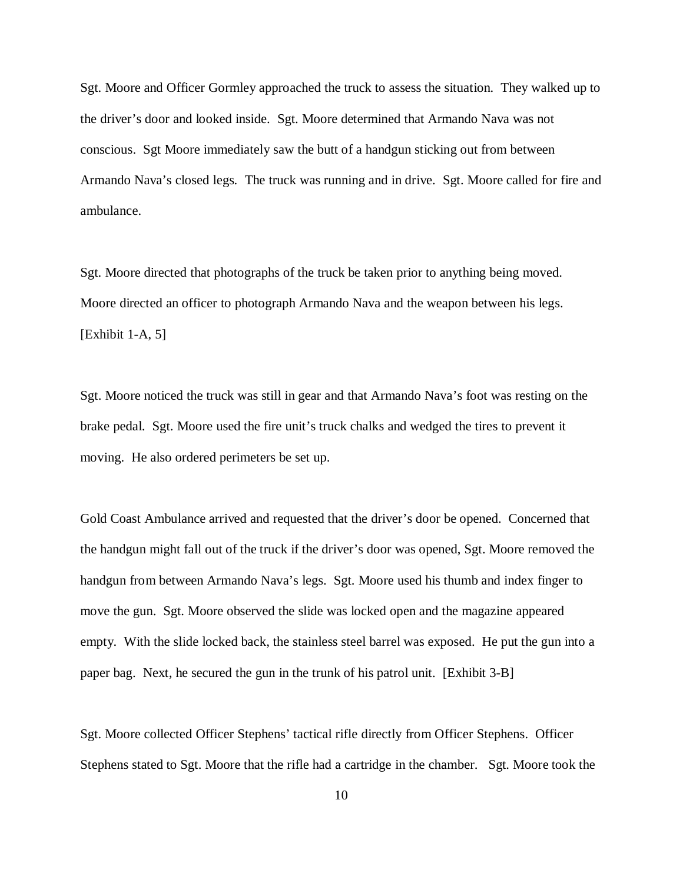Sgt. Moore and Officer Gormley approached the truck to assess the situation. They walked up to the driver's door and looked inside. Sgt. Moore determined that Armando Nava was not conscious. Sgt Moore immediately saw the butt of a handgun sticking out from between Armando Nava's closed legs. The truck was running and in drive. Sgt. Moore called for fire and ambulance.

Sgt. Moore directed that photographs of the truck be taken prior to anything being moved. Moore directed an officer to photograph Armando Nava and the weapon between his legs. [Exhibit 1-A, 5]

Sgt. Moore noticed the truck was still in gear and that Armando Nava's foot was resting on the brake pedal. Sgt. Moore used the fire unit's truck chalks and wedged the tires to prevent it moving. He also ordered perimeters be set up.

Gold Coast Ambulance arrived and requested that the driver's door be opened. Concerned that the handgun might fall out of the truck if the driver's door was opened, Sgt. Moore removed the handgun from between Armando Nava's legs. Sgt. Moore used his thumb and index finger to move the gun. Sgt. Moore observed the slide was locked open and the magazine appeared empty. With the slide locked back, the stainless steel barrel was exposed. He put the gun into a paper bag. Next, he secured the gun in the trunk of his patrol unit. [Exhibit 3-B]

Sgt. Moore collected Officer Stephens' tactical rifle directly from Officer Stephens. Officer Stephens stated to Sgt. Moore that the rifle had a cartridge in the chamber. Sgt. Moore took the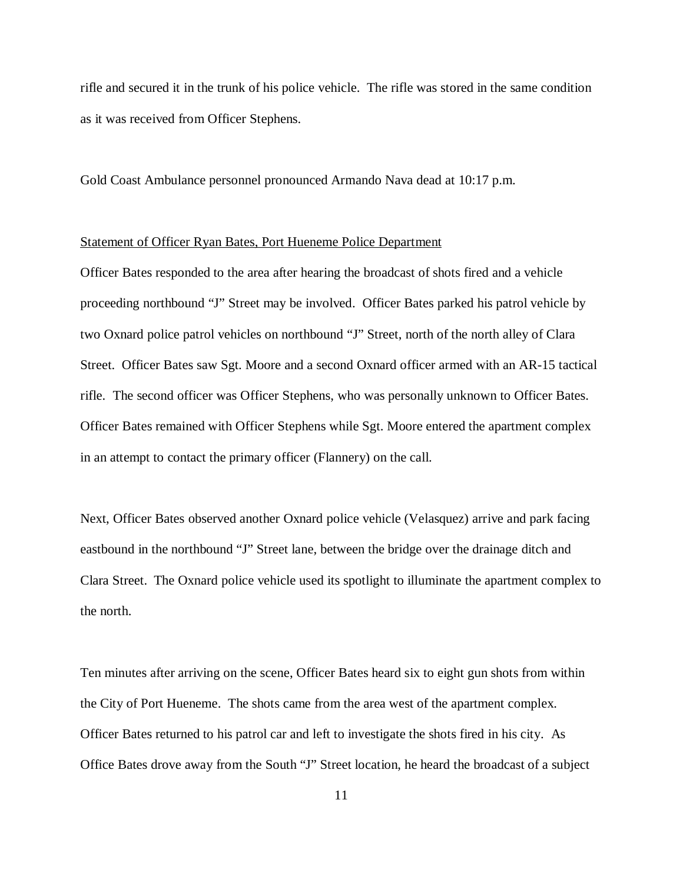rifle and secured it in the trunk of his police vehicle. The rifle was stored in the same condition as it was received from Officer Stephens.

Gold Coast Ambulance personnel pronounced Armando Nava dead at 10:17 p.m.

## Statement of Officer Ryan Bates, Port Hueneme Police Department

Officer Bates responded to the area after hearing the broadcast of shots fired and a vehicle proceeding northbound "J" Street may be involved. Officer Bates parked his patrol vehicle by two Oxnard police patrol vehicles on northbound "J" Street, north of the north alley of Clara Street. Officer Bates saw Sgt. Moore and a second Oxnard officer armed with an AR-15 tactical rifle. The second officer was Officer Stephens, who was personally unknown to Officer Bates. Officer Bates remained with Officer Stephens while Sgt. Moore entered the apartment complex in an attempt to contact the primary officer (Flannery) on the call.

Next, Officer Bates observed another Oxnard police vehicle (Velasquez) arrive and park facing eastbound in the northbound "J" Street lane, between the bridge over the drainage ditch and Clara Street. The Oxnard police vehicle used its spotlight to illuminate the apartment complex to the north.

Ten minutes after arriving on the scene, Officer Bates heard six to eight gun shots from within the City of Port Hueneme. The shots came from the area west of the apartment complex. Officer Bates returned to his patrol car and left to investigate the shots fired in his city. As Office Bates drove away from the South "J" Street location, he heard the broadcast of a subject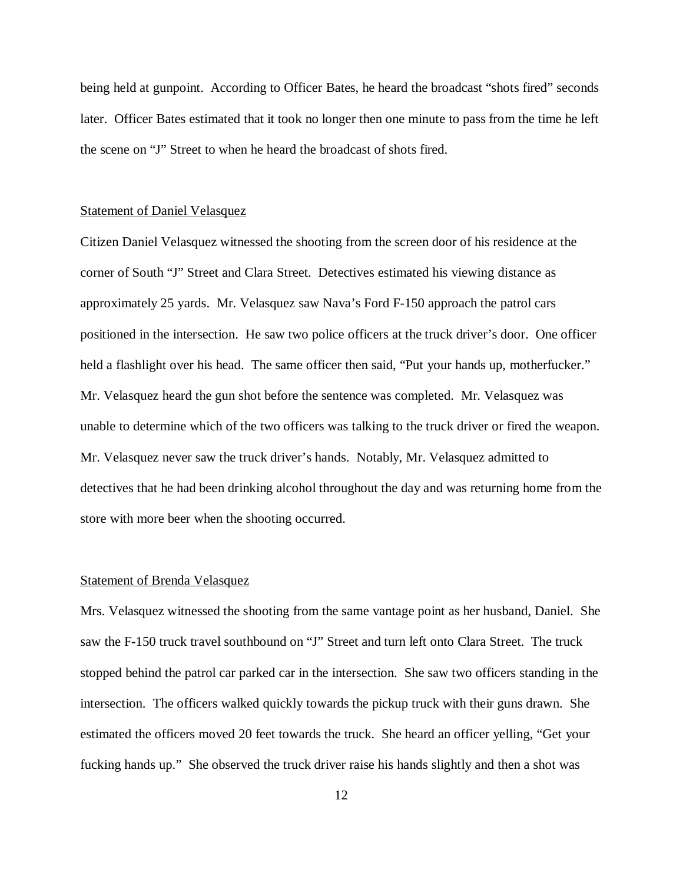being held at gunpoint. According to Officer Bates, he heard the broadcast "shots fired" seconds later. Officer Bates estimated that it took no longer then one minute to pass from the time he left the scene on "J" Street to when he heard the broadcast of shots fired.

## Statement of Daniel Velasquez

Citizen Daniel Velasquez witnessed the shooting from the screen door of his residence at the corner of South "J" Street and Clara Street. Detectives estimated his viewing distance as approximately 25 yards. Mr. Velasquez saw Nava's Ford F-150 approach the patrol cars positioned in the intersection. He saw two police officers at the truck driver's door. One officer held a flashlight over his head. The same officer then said, "Put your hands up, motherfucker." Mr. Velasquez heard the gun shot before the sentence was completed. Mr. Velasquez was unable to determine which of the two officers was talking to the truck driver or fired the weapon. Mr. Velasquez never saw the truck driver's hands. Notably, Mr. Velasquez admitted to detectives that he had been drinking alcohol throughout the day and was returning home from the store with more beer when the shooting occurred.

#### Statement of Brenda Velasquez

Mrs. Velasquez witnessed the shooting from the same vantage point as her husband, Daniel. She saw the F-150 truck travel southbound on "J" Street and turn left onto Clara Street. The truck stopped behind the patrol car parked car in the intersection. She saw two officers standing in the intersection. The officers walked quickly towards the pickup truck with their guns drawn. She estimated the officers moved 20 feet towards the truck. She heard an officer yelling, "Get your fucking hands up." She observed the truck driver raise his hands slightly and then a shot was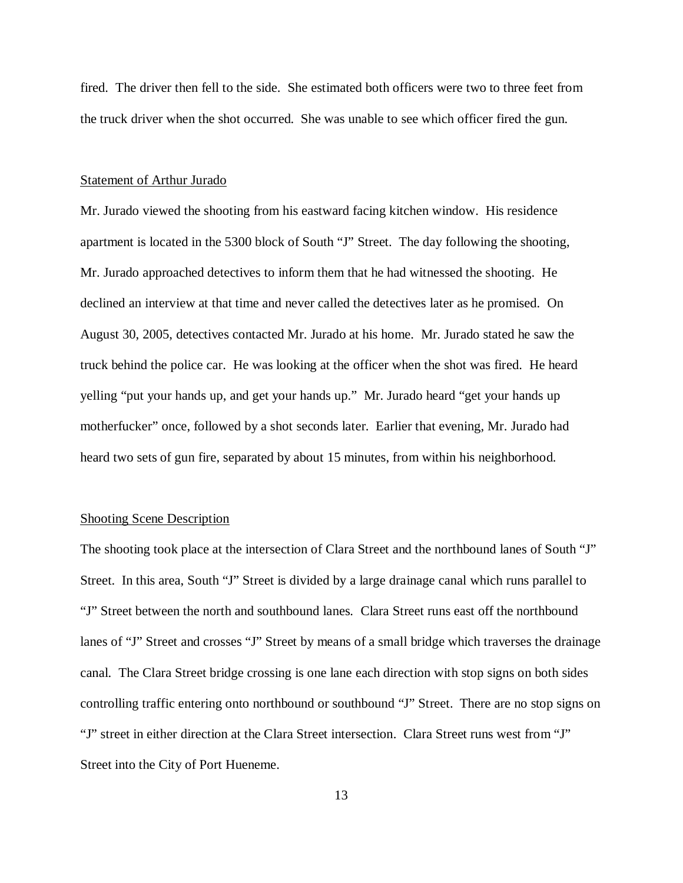fired. The driver then fell to the side. She estimated both officers were two to three feet from the truck driver when the shot occurred. She was unable to see which officer fired the gun.

#### Statement of Arthur Jurado

Mr. Jurado viewed the shooting from his eastward facing kitchen window. His residence apartment is located in the 5300 block of South "J" Street. The day following the shooting, Mr. Jurado approached detectives to inform them that he had witnessed the shooting. He declined an interview at that time and never called the detectives later as he promised. On August 30, 2005, detectives contacted Mr. Jurado at his home. Mr. Jurado stated he saw the truck behind the police car. He was looking at the officer when the shot was fired. He heard yelling "put your hands up, and get your hands up." Mr. Jurado heard "get your hands up motherfucker" once, followed by a shot seconds later. Earlier that evening, Mr. Jurado had heard two sets of gun fire, separated by about 15 minutes, from within his neighborhood.

#### Shooting Scene Description

The shooting took place at the intersection of Clara Street and the northbound lanes of South "J" Street. In this area, South "J" Street is divided by a large drainage canal which runs parallel to "J" Street between the north and southbound lanes. Clara Street runs east off the northbound lanes of "J" Street and crosses "J" Street by means of a small bridge which traverses the drainage canal. The Clara Street bridge crossing is one lane each direction with stop signs on both sides controlling traffic entering onto northbound or southbound "J" Street. There are no stop signs on "J" street in either direction at the Clara Street intersection. Clara Street runs west from "J" Street into the City of Port Hueneme.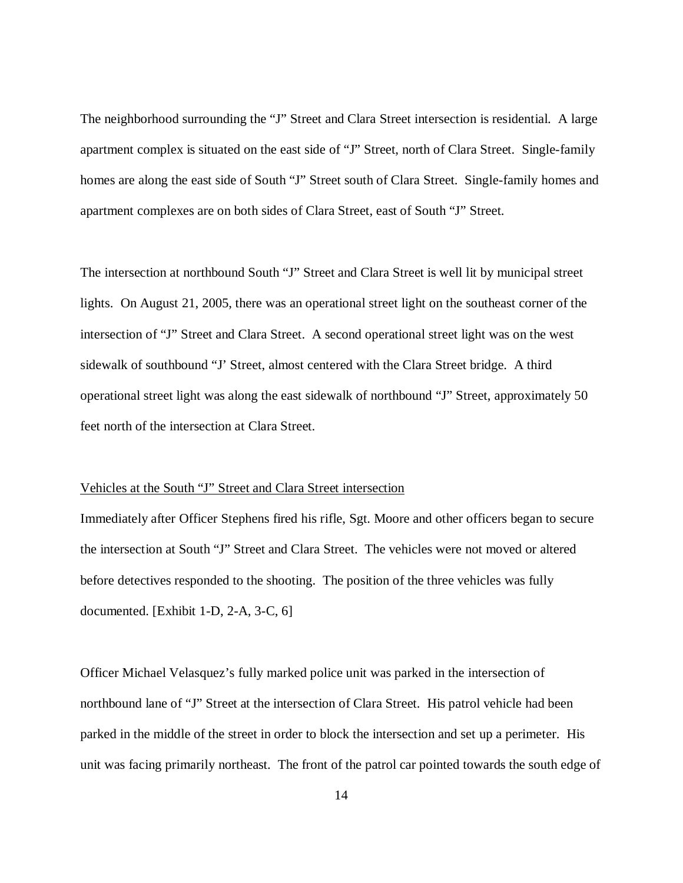The neighborhood surrounding the "J" Street and Clara Street intersection is residential. A large apartment complex is situated on the east side of "J" Street, north of Clara Street. Single-family homes are along the east side of South "J" Street south of Clara Street. Single-family homes and apartment complexes are on both sides of Clara Street, east of South "J" Street.

The intersection at northbound South "J" Street and Clara Street is well lit by municipal street lights. On August 21, 2005, there was an operational street light on the southeast corner of the intersection of "J" Street and Clara Street. A second operational street light was on the west sidewalk of southbound "J' Street, almost centered with the Clara Street bridge. A third operational street light was along the east sidewalk of northbound "J" Street, approximately 50 feet north of the intersection at Clara Street.

#### Vehicles at the South "J" Street and Clara Street intersection

Immediately after Officer Stephens fired his rifle, Sgt. Moore and other officers began to secure the intersection at South "J" Street and Clara Street. The vehicles were not moved or altered before detectives responded to the shooting. The position of the three vehicles was fully documented. [Exhibit 1-D, 2-A, 3-C, 6]

Officer Michael Velasquez's fully marked police unit was parked in the intersection of northbound lane of "J" Street at the intersection of Clara Street. His patrol vehicle had been parked in the middle of the street in order to block the intersection and set up a perimeter. His unit was facing primarily northeast. The front of the patrol car pointed towards the south edge of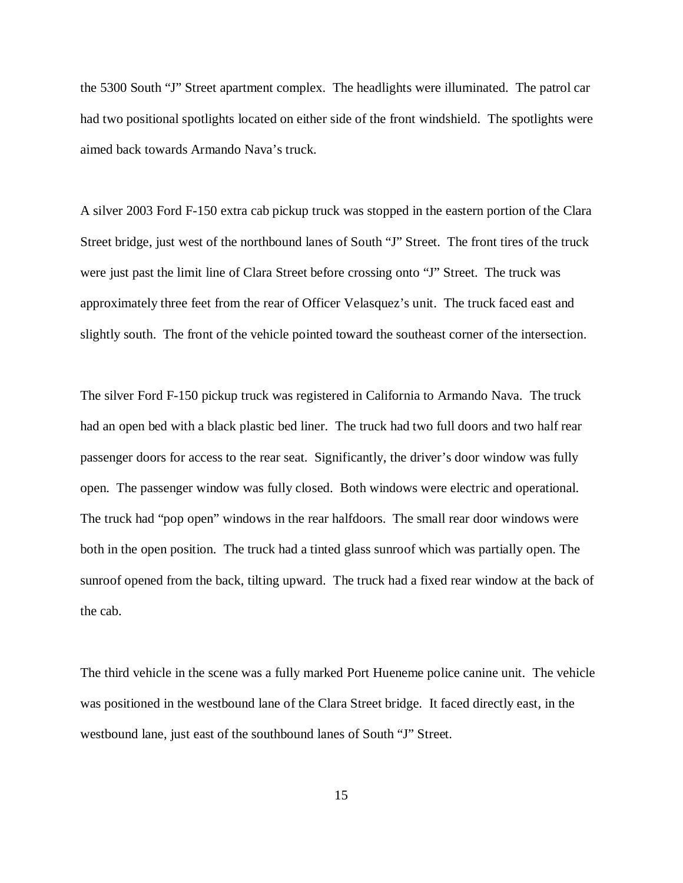the 5300 South "J" Street apartment complex. The headlights were illuminated. The patrol car had two positional spotlights located on either side of the front windshield. The spotlights were aimed back towards Armando Nava's truck.

A silver 2003 Ford F-150 extra cab pickup truck was stopped in the eastern portion of the Clara Street bridge, just west of the northbound lanes of South "J" Street. The front tires of the truck were just past the limit line of Clara Street before crossing onto "J" Street. The truck was approximately three feet from the rear of Officer Velasquez's unit. The truck faced east and slightly south. The front of the vehicle pointed toward the southeast corner of the intersection.

The silver Ford F-150 pickup truck was registered in California to Armando Nava. The truck had an open bed with a black plastic bed liner. The truck had two full doors and two half rear passenger doors for access to the rear seat. Significantly, the driver's door window was fully open. The passenger window was fully closed. Both windows were electric and operational. The truck had "pop open" windows in the rear halfdoors. The small rear door windows were both in the open position. The truck had a tinted glass sunroof which was partially open. The sunroof opened from the back, tilting upward. The truck had a fixed rear window at the back of the cab.

The third vehicle in the scene was a fully marked Port Hueneme police canine unit. The vehicle was positioned in the westbound lane of the Clara Street bridge. It faced directly east, in the westbound lane, just east of the southbound lanes of South "J" Street.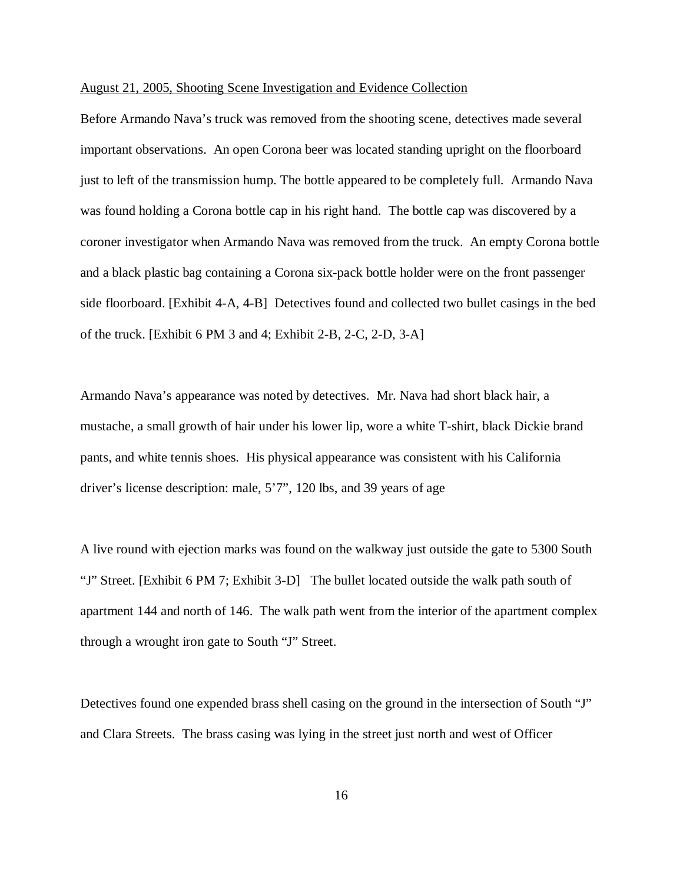#### August 21, 2005, Shooting Scene Investigation and Evidence Collection

Before Armando Nava's truck was removed from the shooting scene, detectives made several important observations. An open Corona beer was located standing upright on the floorboard just to left of the transmission hump. The bottle appeared to be completely full. Armando Nava was found holding a Corona bottle cap in his right hand. The bottle cap was discovered by a coroner investigator when Armando Nava was removed from the truck. An empty Corona bottle and a black plastic bag containing a Corona six-pack bottle holder were on the front passenger side floorboard. [Exhibit 4-A, 4-B] Detectives found and collected two bullet casings in the bed of the truck. [Exhibit 6 PM 3 and 4; Exhibit 2-B, 2-C, 2-D, 3-A]

Armando Nava's appearance was noted by detectives. Mr. Nava had short black hair, a mustache, a small growth of hair under his lower lip, wore a white T-shirt, black Dickie brand pants, and white tennis shoes. His physical appearance was consistent with his California driver's license description: male, 5'7", 120 lbs, and 39 years of age

A live round with ejection marks was found on the walkway just outside the gate to 5300 South "J" Street. [Exhibit 6 PM 7; Exhibit 3-D] The bullet located outside the walk path south of apartment 144 and north of 146. The walk path went from the interior of the apartment complex through a wrought iron gate to South "J" Street.

Detectives found one expended brass shell casing on the ground in the intersection of South "J" and Clara Streets. The brass casing was lying in the street just north and west of Officer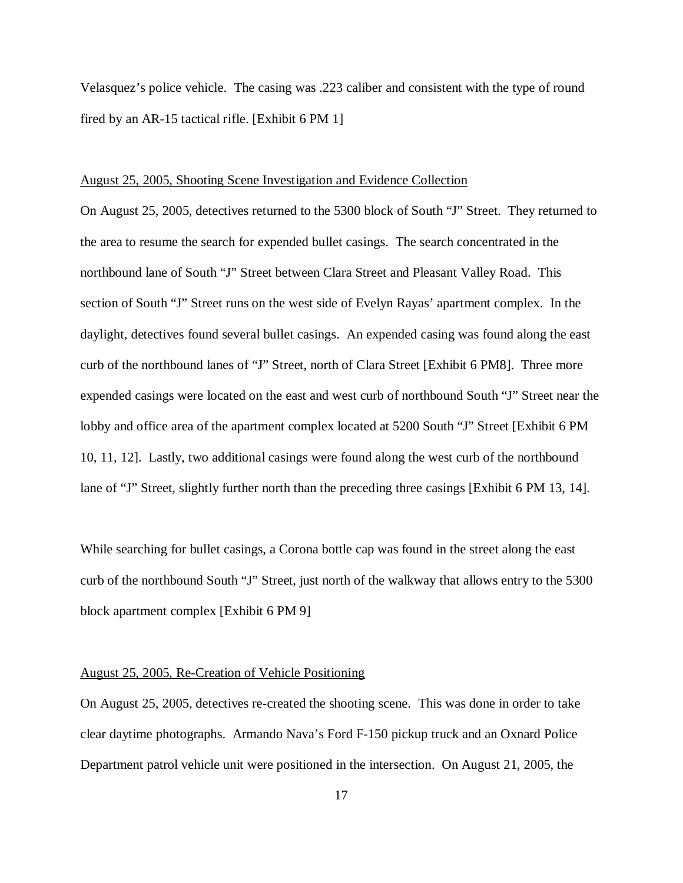Velasquez's police vehicle. The casing was .223 caliber and consistent with the type of round fired by an AR-15 tactical rifle. [Exhibit 6 PM 1]

## August 25, 2005, Shooting Scene Investigation and Evidence Collection

On August 25, 2005, detectives returned to the 5300 block of South "J" Street. They returned to the area to resume the search for expended bullet casings. The search concentrated in the northbound lane of South "J" Street between Clara Street and Pleasant Valley Road. This section of South "J" Street runs on the west side of Evelyn Rayas' apartment complex. In the daylight, detectives found several bullet casings. An expended casing was found along the east curb of the northbound lanes of "J" Street, north of Clara Street [Exhibit 6 PM8]. Three more expended casings were located on the east and west curb of northbound South "J" Street near the lobby and office area of the apartment complex located at 5200 South "J" Street [Exhibit 6 PM 10, 11, 12]. Lastly, two additional casings were found along the west curb of the northbound lane of "J" Street, slightly further north than the preceding three casings [Exhibit 6 PM 13, 14].

While searching for bullet casings, a Corona bottle cap was found in the street along the east curb of the northbound South "J" Street, just north of the walkway that allows entry to the 5300 block apartment complex [Exhibit 6 PM 9]

## August 25, 2005, Re-Creation of Vehicle Positioning

On August 25, 2005, detectives re-created the shooting scene. This was done in order to take clear daytime photographs. Armando Nava's Ford F-150 pickup truck and an Oxnard Police Department patrol vehicle unit were positioned in the intersection. On August 21, 2005, the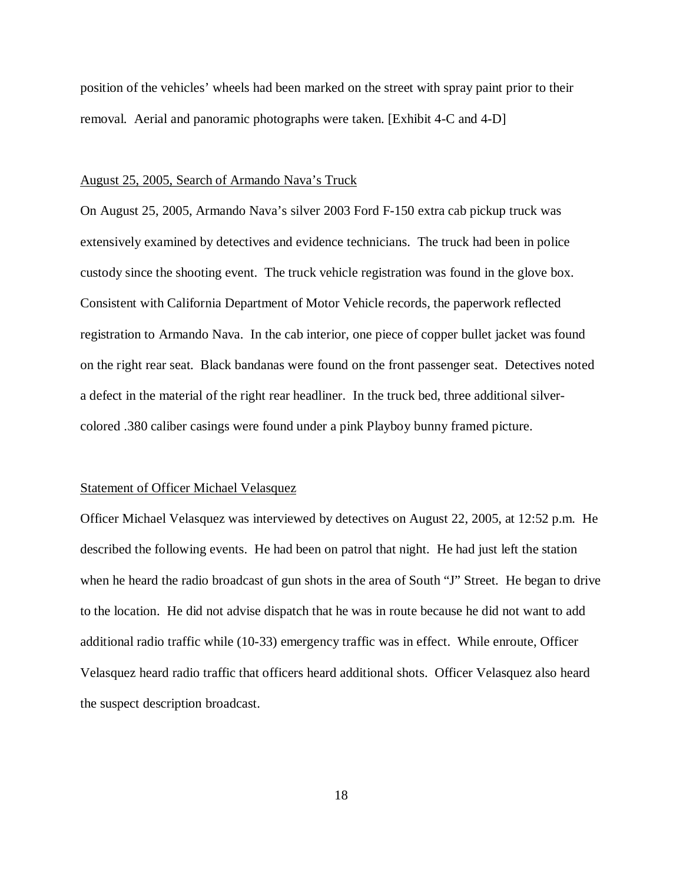position of the vehicles' wheels had been marked on the street with spray paint prior to their removal. Aerial and panoramic photographs were taken. [Exhibit 4-C and 4-D]

#### August 25, 2005, Search of Armando Nava's Truck

On August 25, 2005, Armando Nava's silver 2003 Ford F-150 extra cab pickup truck was extensively examined by detectives and evidence technicians. The truck had been in police custody since the shooting event. The truck vehicle registration was found in the glove box. Consistent with California Department of Motor Vehicle records, the paperwork reflected registration to Armando Nava. In the cab interior, one piece of copper bullet jacket was found on the right rear seat. Black bandanas were found on the front passenger seat. Detectives noted a defect in the material of the right rear headliner. In the truck bed, three additional silvercolored .380 caliber casings were found under a pink Playboy bunny framed picture.

#### Statement of Officer Michael Velasquez

Officer Michael Velasquez was interviewed by detectives on August 22, 2005, at 12:52 p.m. He described the following events. He had been on patrol that night. He had just left the station when he heard the radio broadcast of gun shots in the area of South "J" Street. He began to drive to the location. He did not advise dispatch that he was in route because he did not want to add additional radio traffic while (10-33) emergency traffic was in effect. While enroute, Officer Velasquez heard radio traffic that officers heard additional shots. Officer Velasquez also heard the suspect description broadcast.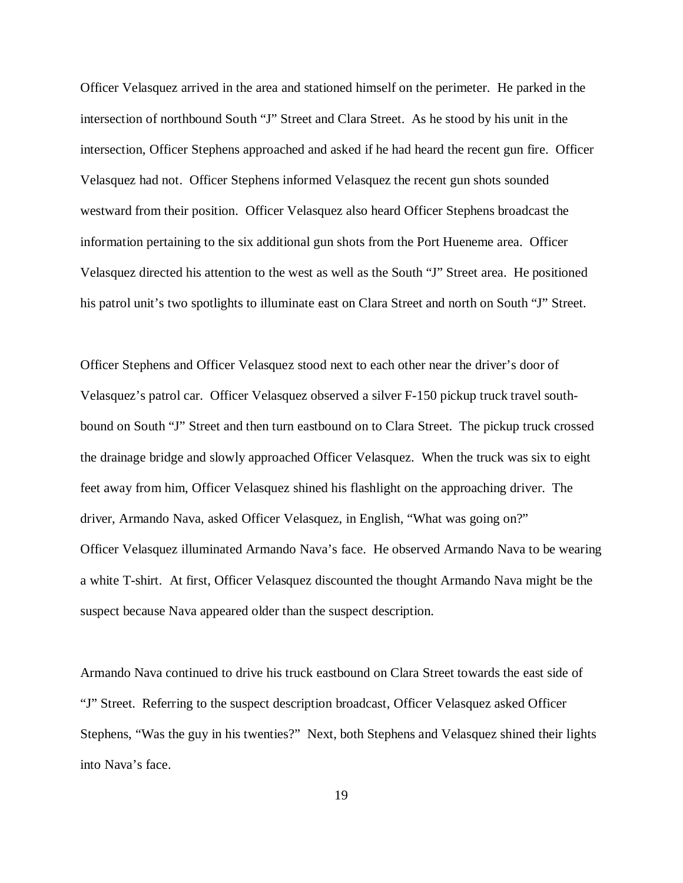Officer Velasquez arrived in the area and stationed himself on the perimeter. He parked in the intersection of northbound South "J" Street and Clara Street. As he stood by his unit in the intersection, Officer Stephens approached and asked if he had heard the recent gun fire. Officer Velasquez had not. Officer Stephens informed Velasquez the recent gun shots sounded westward from their position. Officer Velasquez also heard Officer Stephens broadcast the information pertaining to the six additional gun shots from the Port Hueneme area. Officer Velasquez directed his attention to the west as well as the South "J" Street area. He positioned his patrol unit's two spotlights to illuminate east on Clara Street and north on South "J" Street.

Officer Stephens and Officer Velasquez stood next to each other near the driver's door of Velasquez's patrol car. Officer Velasquez observed a silver F-150 pickup truck travel southbound on South "J" Street and then turn eastbound on to Clara Street. The pickup truck crossed the drainage bridge and slowly approached Officer Velasquez. When the truck was six to eight feet away from him, Officer Velasquez shined his flashlight on the approaching driver. The driver, Armando Nava, asked Officer Velasquez, in English, "What was going on?" Officer Velasquez illuminated Armando Nava's face. He observed Armando Nava to be wearing a white T-shirt. At first, Officer Velasquez discounted the thought Armando Nava might be the suspect because Nava appeared older than the suspect description.

Armando Nava continued to drive his truck eastbound on Clara Street towards the east side of "J" Street. Referring to the suspect description broadcast, Officer Velasquez asked Officer Stephens, "Was the guy in his twenties?" Next, both Stephens and Velasquez shined their lights into Nava's face.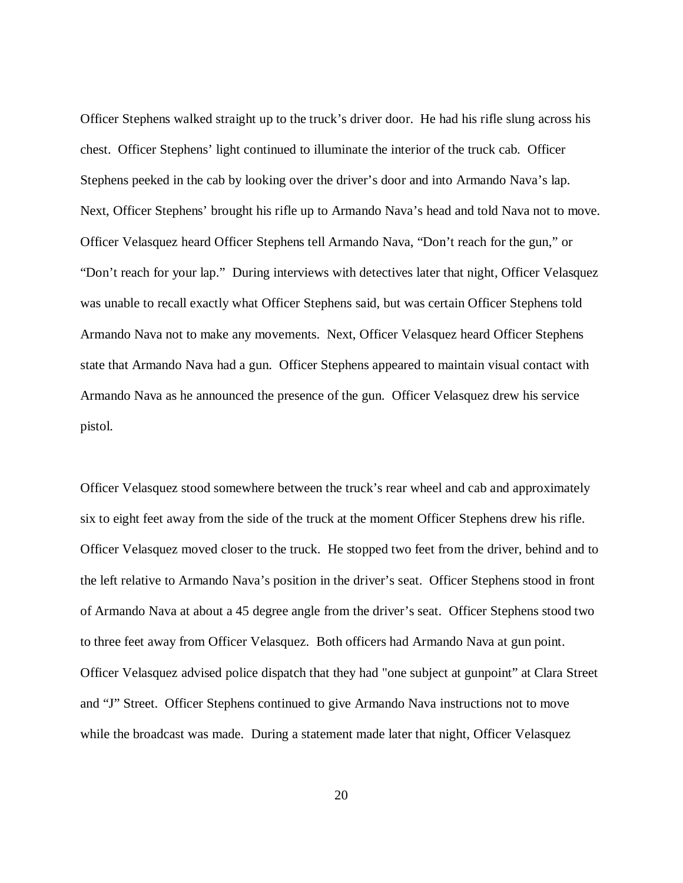Officer Stephens walked straight up to the truck's driver door. He had his rifle slung across his chest. Officer Stephens' light continued to illuminate the interior of the truck cab. Officer Stephens peeked in the cab by looking over the driver's door and into Armando Nava's lap. Next, Officer Stephens' brought his rifle up to Armando Nava's head and told Nava not to move. Officer Velasquez heard Officer Stephens tell Armando Nava, "Don't reach for the gun," or "Don't reach for your lap." During interviews with detectives later that night, Officer Velasquez was unable to recall exactly what Officer Stephens said, but was certain Officer Stephens told Armando Nava not to make any movements. Next, Officer Velasquez heard Officer Stephens state that Armando Nava had a gun. Officer Stephens appeared to maintain visual contact with Armando Nava as he announced the presence of the gun. Officer Velasquez drew his service pistol.

Officer Velasquez stood somewhere between the truck's rear wheel and cab and approximately six to eight feet away from the side of the truck at the moment Officer Stephens drew his rifle. Officer Velasquez moved closer to the truck. He stopped two feet from the driver, behind and to the left relative to Armando Nava's position in the driver's seat. Officer Stephens stood in front of Armando Nava at about a 45 degree angle from the driver's seat. Officer Stephens stood two to three feet away from Officer Velasquez. Both officers had Armando Nava at gun point. Officer Velasquez advised police dispatch that they had "one subject at gunpoint" at Clara Street and "J" Street. Officer Stephens continued to give Armando Nava instructions not to move while the broadcast was made. During a statement made later that night, Officer Velasquez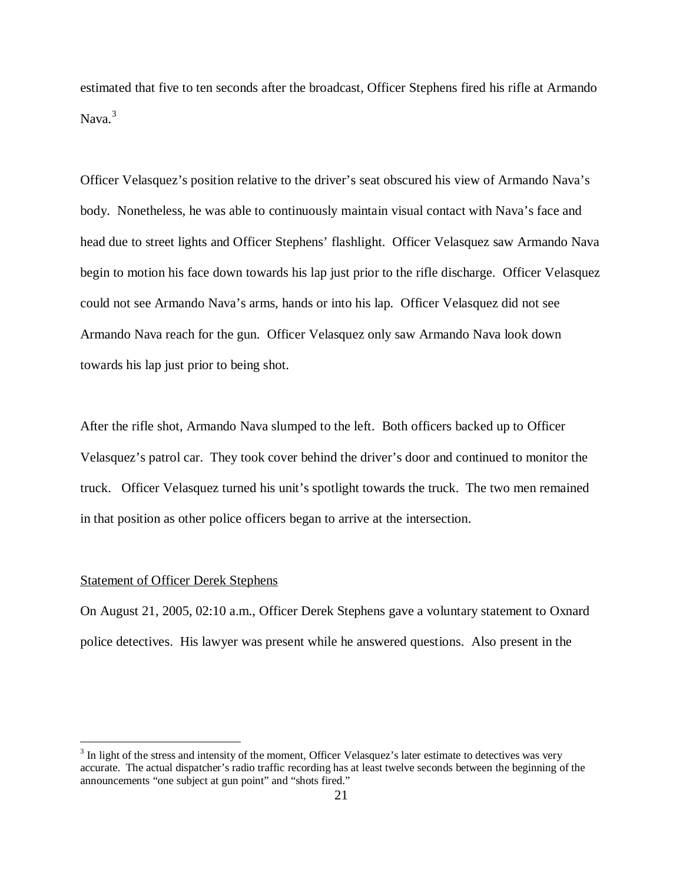estimated that five to ten seconds after the broadcast, Officer Stephens fired his rifle at Armando Nava $^3$ 

Officer Velasquez's position relative to the driver's seat obscured his view of Armando Nava's body. Nonetheless, he was able to continuously maintain visual contact with Nava's face and head due to street lights and Officer Stephens' flashlight. Officer Velasquez saw Armando Nava begin to motion his face down towards his lap just prior to the rifle discharge. Officer Velasquez could not see Armando Nava's arms, hands or into his lap. Officer Velasquez did not see Armando Nava reach for the gun. Officer Velasquez only saw Armando Nava look down towards his lap just prior to being shot.

After the rifle shot, Armando Nava slumped to the left. Both officers backed up to Officer Velasquez's patrol car. They took cover behind the driver's door and continued to monitor the truck. Officer Velasquez turned his unit's spotlight towards the truck. The two men remained in that position as other police officers began to arrive at the intersection.

#### Statement of Officer Derek Stephens

On August 21, 2005, 02:10 a.m., Officer Derek Stephens gave a voluntary statement to Oxnard police detectives. His lawyer was present while he answered questions. Also present in the

 $3$  In light of the stress and intensity of the moment, Officer Velasquez's later estimate to detectives was very accurate. The actual dispatcher's radio traffic recording has at least twelve seconds between the beginning of the announcements "one subject at gun point" and "shots fired."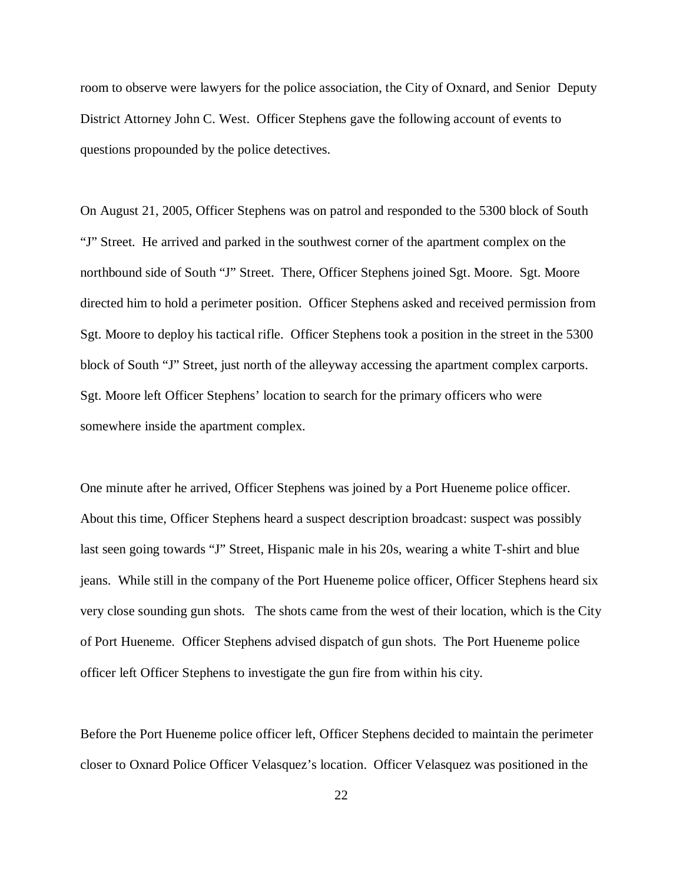room to observe were lawyers for the police association, the City of Oxnard, and Senior Deputy District Attorney John C. West. Officer Stephens gave the following account of events to questions propounded by the police detectives.

On August 21, 2005, Officer Stephens was on patrol and responded to the 5300 block of South "J" Street. He arrived and parked in the southwest corner of the apartment complex on the northbound side of South "J" Street. There, Officer Stephens joined Sgt. Moore. Sgt. Moore directed him to hold a perimeter position. Officer Stephens asked and received permission from Sgt. Moore to deploy his tactical rifle. Officer Stephens took a position in the street in the 5300 block of South "J" Street, just north of the alleyway accessing the apartment complex carports. Sgt. Moore left Officer Stephens' location to search for the primary officers who were somewhere inside the apartment complex.

One minute after he arrived, Officer Stephens was joined by a Port Hueneme police officer. About this time, Officer Stephens heard a suspect description broadcast: suspect was possibly last seen going towards "J" Street, Hispanic male in his 20s, wearing a white T-shirt and blue jeans. While still in the company of the Port Hueneme police officer, Officer Stephens heard six very close sounding gun shots. The shots came from the west of their location, which is the City of Port Hueneme. Officer Stephens advised dispatch of gun shots. The Port Hueneme police officer left Officer Stephens to investigate the gun fire from within his city.

Before the Port Hueneme police officer left, Officer Stephens decided to maintain the perimeter closer to Oxnard Police Officer Velasquez's location. Officer Velasquez was positioned in the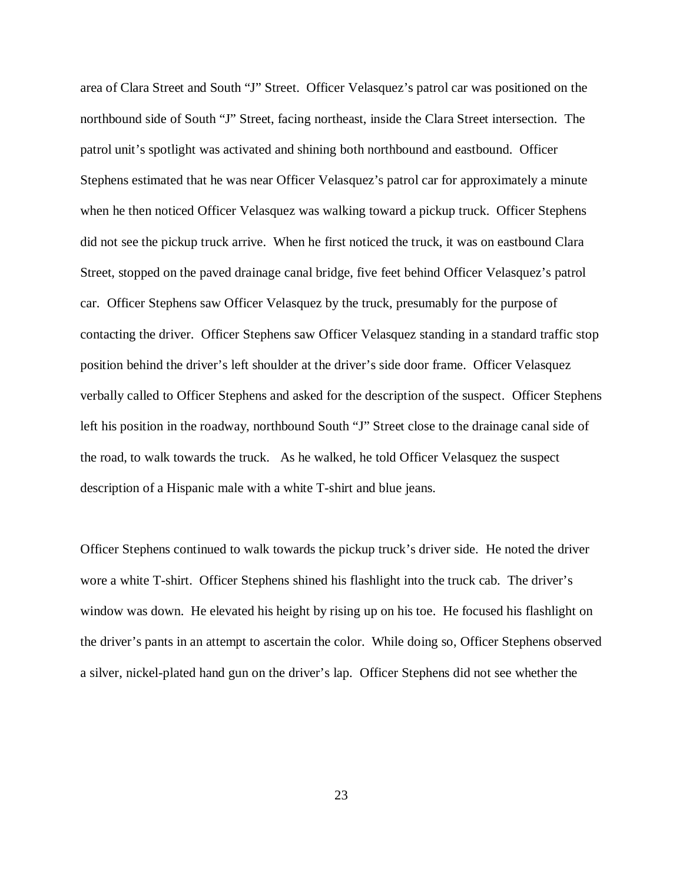area of Clara Street and South "J" Street. Officer Velasquez's patrol car was positioned on the northbound side of South "J" Street, facing northeast, inside the Clara Street intersection. The patrol unit's spotlight was activated and shining both northbound and eastbound. Officer Stephens estimated that he was near Officer Velasquez's patrol car for approximately a minute when he then noticed Officer Velasquez was walking toward a pickup truck. Officer Stephens did not see the pickup truck arrive. When he first noticed the truck, it was on eastbound Clara Street, stopped on the paved drainage canal bridge, five feet behind Officer Velasquez's patrol car. Officer Stephens saw Officer Velasquez by the truck, presumably for the purpose of contacting the driver. Officer Stephens saw Officer Velasquez standing in a standard traffic stop position behind the driver's left shoulder at the driver's side door frame. Officer Velasquez verbally called to Officer Stephens and asked for the description of the suspect. Officer Stephens left his position in the roadway, northbound South "J" Street close to the drainage canal side of the road, to walk towards the truck. As he walked, he told Officer Velasquez the suspect description of a Hispanic male with a white T-shirt and blue jeans.

Officer Stephens continued to walk towards the pickup truck's driver side. He noted the driver wore a white T-shirt. Officer Stephens shined his flashlight into the truck cab. The driver's window was down. He elevated his height by rising up on his toe. He focused his flashlight on the driver's pants in an attempt to ascertain the color. While doing so, Officer Stephens observed a silver, nickel-plated hand gun on the driver's lap. Officer Stephens did not see whether the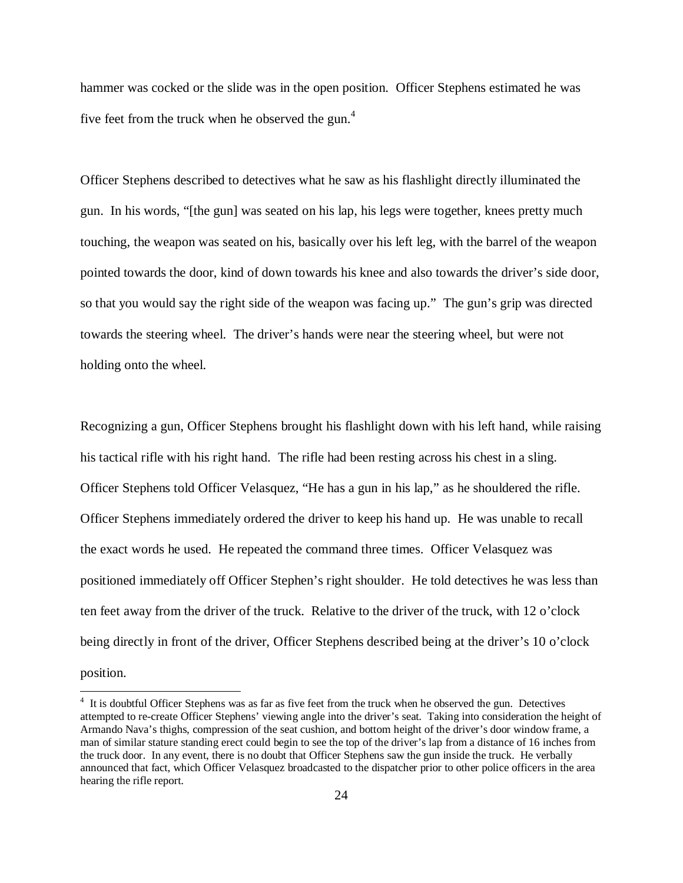hammer was cocked or the slide was in the open position. Officer Stephens estimated he was five feet from the truck when he observed the gun. $4$ 

Officer Stephens described to detectives what he saw as his flashlight directly illuminated the gun. In his words, "[the gun] was seated on his lap, his legs were together, knees pretty much touching, the weapon was seated on his, basically over his left leg, with the barrel of the weapon pointed towards the door, kind of down towards his knee and also towards the driver's side door, so that you would say the right side of the weapon was facing up." The gun's grip was directed towards the steering wheel. The driver's hands were near the steering wheel, but were not holding onto the wheel.

Recognizing a gun, Officer Stephens brought his flashlight down with his left hand, while raising his tactical rifle with his right hand. The rifle had been resting across his chest in a sling. Officer Stephens told Officer Velasquez, "He has a gun in his lap," as he shouldered the rifle. Officer Stephens immediately ordered the driver to keep his hand up. He was unable to recall the exact words he used. He repeated the command three times. Officer Velasquez was positioned immediately off Officer Stephen's right shoulder. He told detectives he was less than ten feet away from the driver of the truck. Relative to the driver of the truck, with 12 o'clock being directly in front of the driver, Officer Stephens described being at the driver's 10 o'clock position.

<sup>&</sup>lt;sup>4</sup> It is doubtful Officer Stephens was as far as five feet from the truck when he observed the gun. Detectives attempted to re-create Officer Stephens' viewing angle into the driver's seat. Taking into consideration the height of Armando Nava's thighs, compression of the seat cushion, and bottom height of the driver's door window frame, a man of similar stature standing erect could begin to see the top of the driver's lap from a distance of 16 inches from the truck door. In any event, there is no doubt that Officer Stephens saw the gun inside the truck. He verbally announced that fact, which Officer Velasquez broadcasted to the dispatcher prior to other police officers in the area hearing the rifle report.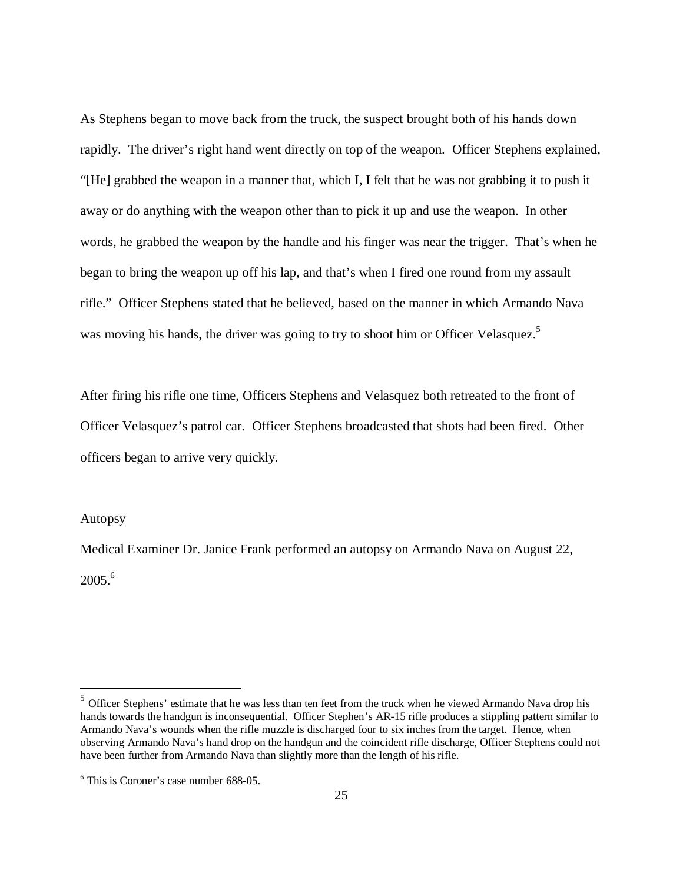As Stephens began to move back from the truck, the suspect brought both of his hands down rapidly. The driver's right hand went directly on top of the weapon. Officer Stephens explained, "[He] grabbed the weapon in a manner that, which I, I felt that he was not grabbing it to push it away or do anything with the weapon other than to pick it up and use the weapon. In other words, he grabbed the weapon by the handle and his finger was near the trigger. That's when he began to bring the weapon up off his lap, and that's when I fired one round from my assault rifle." Officer Stephens stated that he believed, based on the manner in which Armando Nava was moving his hands, the driver was going to try to shoot him or Officer Velasquez.<sup>5</sup>

After firing his rifle one time, Officers Stephens and Velasquez both retreated to the front of Officer Velasquez's patrol car. Officer Stephens broadcasted that shots had been fired. Other officers began to arrive very quickly.

#### Autopsy

Medical Examiner Dr. Janice Frank performed an autopsy on Armando Nava on August 22,  $2005.<sup>6</sup>$ 

<sup>&</sup>lt;sup>5</sup> Officer Stephens' estimate that he was less than ten feet from the truck when he viewed Armando Nava drop his hands towards the handgun is inconsequential. Officer Stephen's AR-15 rifle produces a stippling pattern similar to Armando Nava's wounds when the rifle muzzle is discharged four to six inches from the target. Hence, when observing Armando Nava's hand drop on the handgun and the coincident rifle discharge, Officer Stephens could not have been further from Armando Nava than slightly more than the length of his rifle.

<sup>6</sup> This is Coroner's case number 688-05.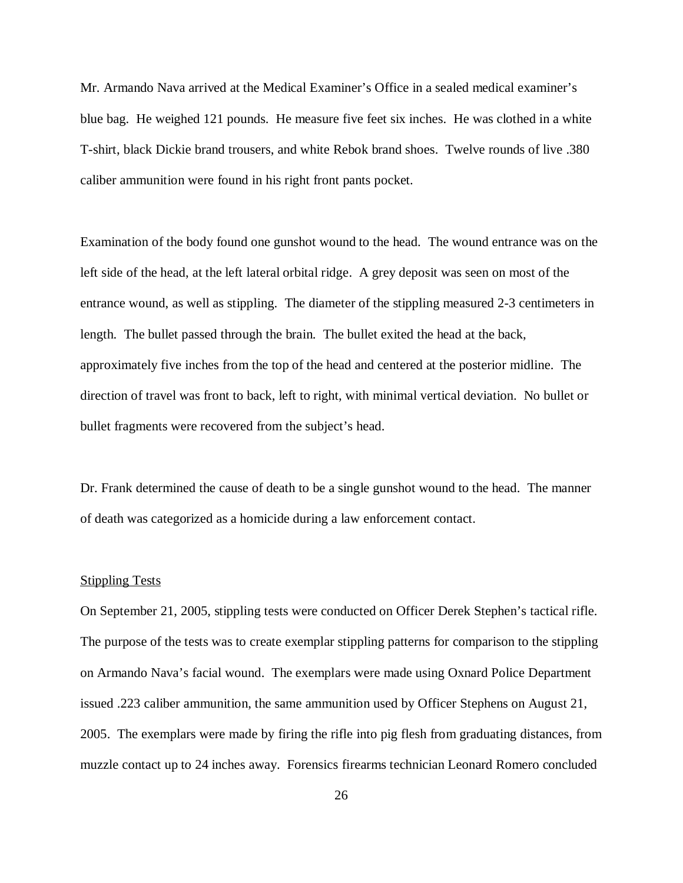Mr. Armando Nava arrived at the Medical Examiner's Office in a sealed medical examiner's blue bag. He weighed 121 pounds. He measure five feet six inches. He was clothed in a white T-shirt, black Dickie brand trousers, and white Rebok brand shoes. Twelve rounds of live .380 caliber ammunition were found in his right front pants pocket.

Examination of the body found one gunshot wound to the head. The wound entrance was on the left side of the head, at the left lateral orbital ridge. A grey deposit was seen on most of the entrance wound, as well as stippling. The diameter of the stippling measured 2-3 centimeters in length. The bullet passed through the brain. The bullet exited the head at the back, approximately five inches from the top of the head and centered at the posterior midline. The direction of travel was front to back, left to right, with minimal vertical deviation. No bullet or bullet fragments were recovered from the subject's head.

Dr. Frank determined the cause of death to be a single gunshot wound to the head. The manner of death was categorized as a homicide during a law enforcement contact.

#### Stippling Tests

On September 21, 2005, stippling tests were conducted on Officer Derek Stephen's tactical rifle. The purpose of the tests was to create exemplar stippling patterns for comparison to the stippling on Armando Nava's facial wound. The exemplars were made using Oxnard Police Department issued .223 caliber ammunition, the same ammunition used by Officer Stephens on August 21, 2005. The exemplars were made by firing the rifle into pig flesh from graduating distances, from muzzle contact up to 24 inches away. Forensics firearms technician Leonard Romero concluded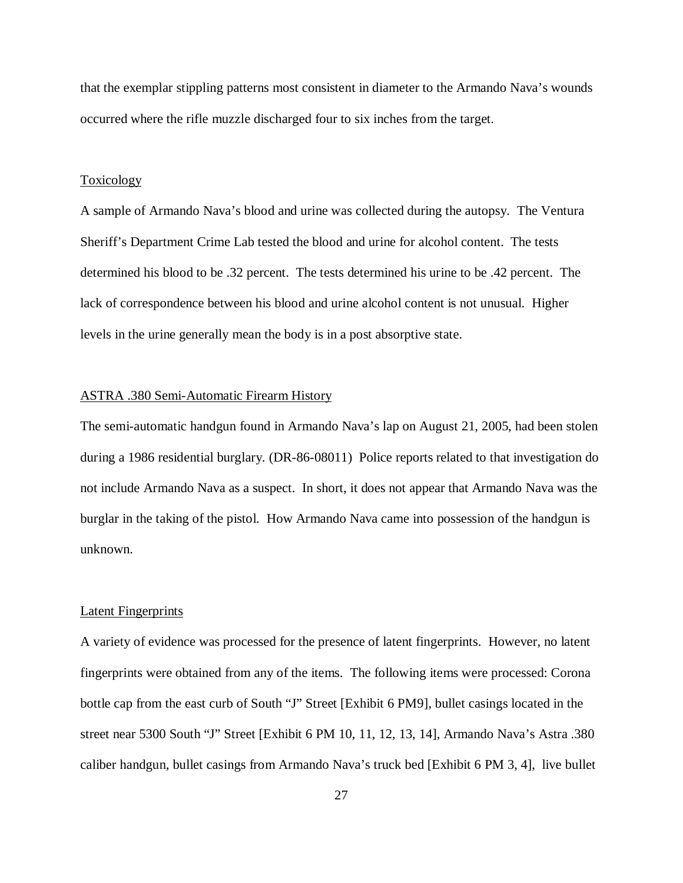that the exemplar stippling patterns most consistent in diameter to the Armando Nava's wounds occurred where the rifle muzzle discharged four to six inches from the target.

## **Toxicology**

A sample of Armando Nava's blood and urine was collected during the autopsy. The Ventura Sheriff's Department Crime Lab tested the blood and urine for alcohol content. The tests determined his blood to be .32 percent. The tests determined his urine to be .42 percent. The lack of correspondence between his blood and urine alcohol content is not unusual. Higher levels in the urine generally mean the body is in a post absorptive state.

## ASTRA .380 Semi-Automatic Firearm History

The semi-automatic handgun found in Armando Nava's lap on August 21, 2005, had been stolen during a 1986 residential burglary. (DR-86-08011) Police reports related to that investigation do not include Armando Nava as a suspect. In short, it does not appear that Armando Nava was the burglar in the taking of the pistol. How Armando Nava came into possession of the handgun is unknown.

## Latent Fingerprints

A variety of evidence was processed for the presence of latent fingerprints. However, no latent fingerprints were obtained from any of the items. The following items were processed: Corona bottle cap from the east curb of South "J" Street [Exhibit 6 PM9], bullet casings located in the street near 5300 South "J" Street [Exhibit 6 PM 10, 11, 12, 13, 14], Armando Nava's Astra .380 caliber handgun, bullet casings from Armando Nava's truck bed [Exhibit 6 PM 3, 4], live bullet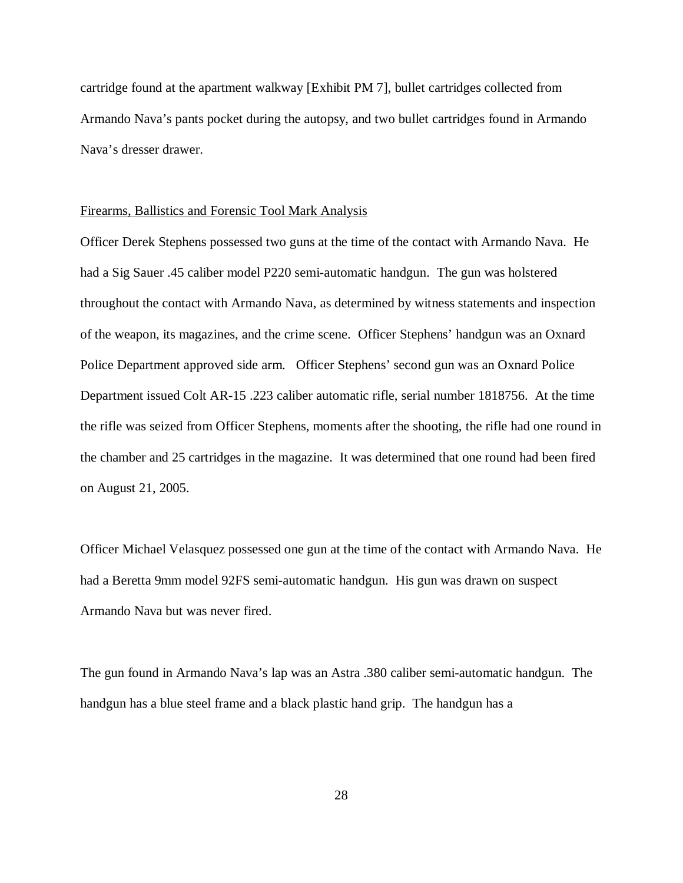cartridge found at the apartment walkway [Exhibit PM 7], bullet cartridges collected from Armando Nava's pants pocket during the autopsy, and two bullet cartridges found in Armando Nava's dresser drawer.

## Firearms, Ballistics and Forensic Tool Mark Analysis

Officer Derek Stephens possessed two guns at the time of the contact with Armando Nava. He had a Sig Sauer .45 caliber model P220 semi-automatic handgun. The gun was holstered throughout the contact with Armando Nava, as determined by witness statements and inspection of the weapon, its magazines, and the crime scene. Officer Stephens' handgun was an Oxnard Police Department approved side arm. Officer Stephens' second gun was an Oxnard Police Department issued Colt AR-15 .223 caliber automatic rifle, serial number 1818756. At the time the rifle was seized from Officer Stephens, moments after the shooting, the rifle had one round in the chamber and 25 cartridges in the magazine. It was determined that one round had been fired on August 21, 2005.

Officer Michael Velasquez possessed one gun at the time of the contact with Armando Nava. He had a Beretta 9mm model 92FS semi-automatic handgun. His gun was drawn on suspect Armando Nava but was never fired.

The gun found in Armando Nava's lap was an Astra .380 caliber semi-automatic handgun. The handgun has a blue steel frame and a black plastic hand grip. The handgun has a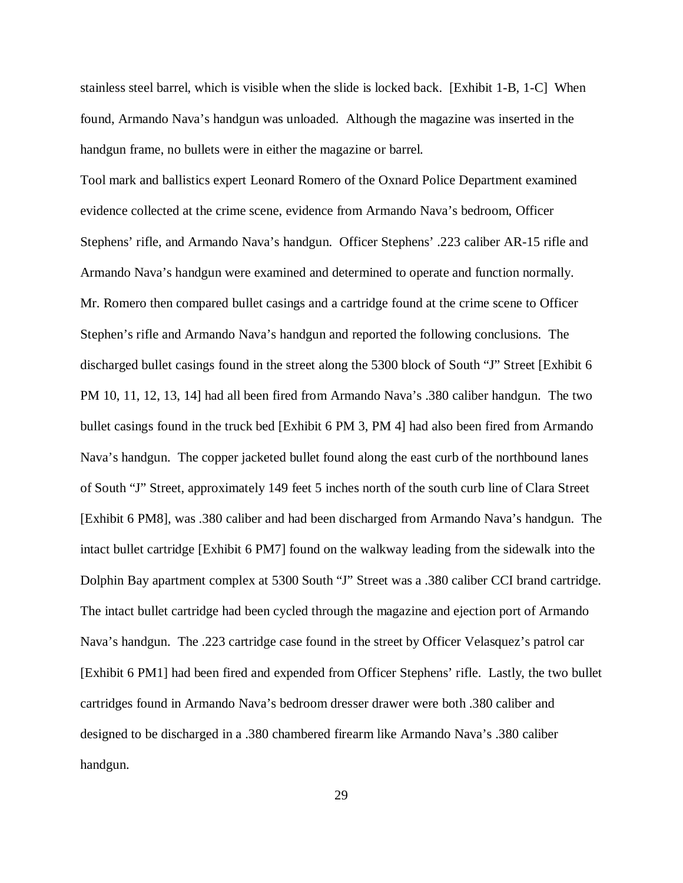stainless steel barrel, which is visible when the slide is locked back. [Exhibit 1-B, 1-C] When found, Armando Nava's handgun was unloaded. Although the magazine was inserted in the handgun frame, no bullets were in either the magazine or barrel.

Tool mark and ballistics expert Leonard Romero of the Oxnard Police Department examined evidence collected at the crime scene, evidence from Armando Nava's bedroom, Officer Stephens' rifle, and Armando Nava's handgun. Officer Stephens' .223 caliber AR-15 rifle and Armando Nava's handgun were examined and determined to operate and function normally. Mr. Romero then compared bullet casings and a cartridge found at the crime scene to Officer Stephen's rifle and Armando Nava's handgun and reported the following conclusions. The discharged bullet casings found in the street along the 5300 block of South "J" Street [Exhibit 6 PM 10, 11, 12, 13, 14] had all been fired from Armando Nava's .380 caliber handgun. The two bullet casings found in the truck bed [Exhibit 6 PM 3, PM 4] had also been fired from Armando Nava's handgun. The copper jacketed bullet found along the east curb of the northbound lanes of South "J" Street, approximately 149 feet 5 inches north of the south curb line of Clara Street [Exhibit 6 PM8], was .380 caliber and had been discharged from Armando Nava's handgun. The intact bullet cartridge [Exhibit 6 PM7] found on the walkway leading from the sidewalk into the Dolphin Bay apartment complex at 5300 South "J" Street was a .380 caliber CCI brand cartridge. The intact bullet cartridge had been cycled through the magazine and ejection port of Armando Nava's handgun. The .223 cartridge case found in the street by Officer Velasquez's patrol car [Exhibit 6 PM1] had been fired and expended from Officer Stephens' rifle. Lastly, the two bullet cartridges found in Armando Nava's bedroom dresser drawer were both .380 caliber and designed to be discharged in a .380 chambered firearm like Armando Nava's .380 caliber handgun.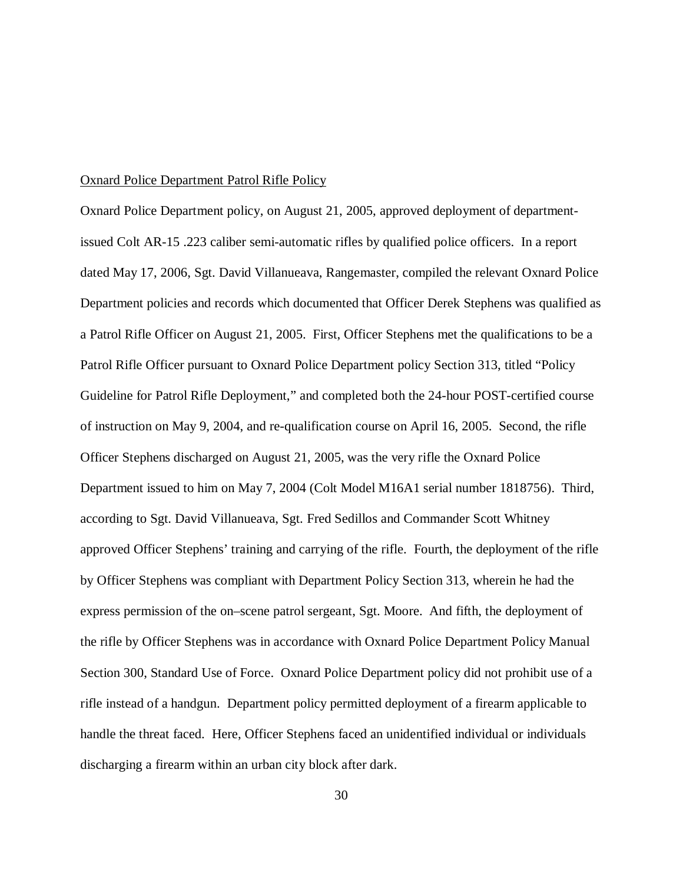#### Oxnard Police Department Patrol Rifle Policy

Oxnard Police Department policy, on August 21, 2005, approved deployment of departmentissued Colt AR-15 .223 caliber semi-automatic rifles by qualified police officers. In a report dated May 17, 2006, Sgt. David Villanueava, Rangemaster, compiled the relevant Oxnard Police Department policies and records which documented that Officer Derek Stephens was qualified as a Patrol Rifle Officer on August 21, 2005. First, Officer Stephens met the qualifications to be a Patrol Rifle Officer pursuant to Oxnard Police Department policy Section 313, titled "Policy Guideline for Patrol Rifle Deployment," and completed both the 24-hour POST-certified course of instruction on May 9, 2004, and re-qualification course on April 16, 2005. Second, the rifle Officer Stephens discharged on August 21, 2005, was the very rifle the Oxnard Police Department issued to him on May 7, 2004 (Colt Model M16A1 serial number 1818756). Third, according to Sgt. David Villanueava, Sgt. Fred Sedillos and Commander Scott Whitney approved Officer Stephens' training and carrying of the rifle. Fourth, the deployment of the rifle by Officer Stephens was compliant with Department Policy Section 313, wherein he had the express permission of the on–scene patrol sergeant, Sgt. Moore. And fifth, the deployment of the rifle by Officer Stephens was in accordance with Oxnard Police Department Policy Manual Section 300, Standard Use of Force. Oxnard Police Department policy did not prohibit use of a rifle instead of a handgun. Department policy permitted deployment of a firearm applicable to handle the threat faced. Here, Officer Stephens faced an unidentified individual or individuals discharging a firearm within an urban city block after dark.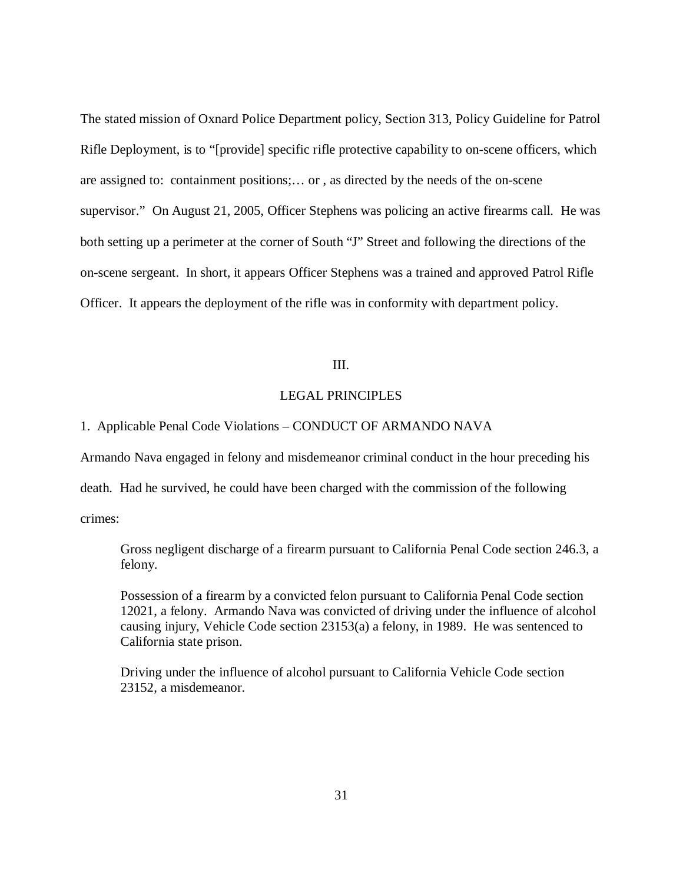The stated mission of Oxnard Police Department policy, Section 313, Policy Guideline for Patrol Rifle Deployment, is to "[provide] specific rifle protective capability to on-scene officers, which are assigned to: containment positions;… or , as directed by the needs of the on-scene supervisor." On August 21, 2005, Officer Stephens was policing an active firearms call. He was both setting up a perimeter at the corner of South "J" Street and following the directions of the on-scene sergeant. In short, it appears Officer Stephens was a trained and approved Patrol Rifle Officer. It appears the deployment of the rifle was in conformity with department policy.

## III.

## LEGAL PRINCIPLES

## 1. Applicable Penal Code Violations – CONDUCT OF ARMANDO NAVA

Armando Nava engaged in felony and misdemeanor criminal conduct in the hour preceding his

death. Had he survived, he could have been charged with the commission of the following

crimes:

Gross negligent discharge of a firearm pursuant to California Penal Code section 246.3, a felony.

Possession of a firearm by a convicted felon pursuant to California Penal Code section 12021, a felony. Armando Nava was convicted of driving under the influence of alcohol causing injury, Vehicle Code section 23153(a) a felony, in 1989. He was sentenced to California state prison.

Driving under the influence of alcohol pursuant to California Vehicle Code section 23152, a misdemeanor.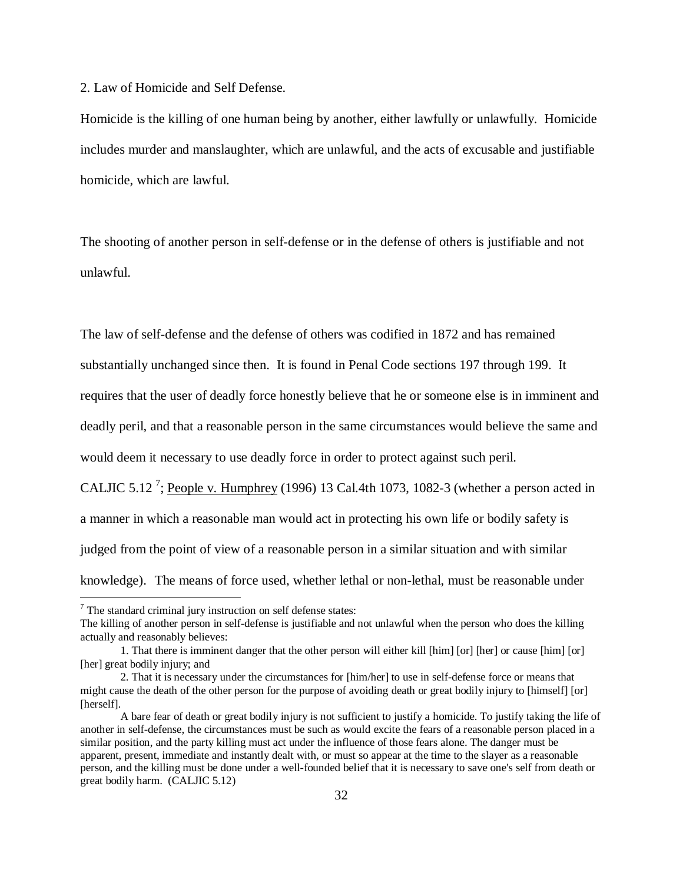2. Law of Homicide and Self Defense.

Homicide is the killing of one human being by another, either lawfully or unlawfully. Homicide includes murder and manslaughter, which are unlawful, and the acts of excusable and justifiable homicide, which are lawful.

The shooting of another person in self-defense or in the defense of others is justifiable and not unlawful.

The law of self-defense and the defense of others was codified in 1872 and has remained

substantially unchanged since then. It is found in Penal Code sections 197 through 199. It

requires that the user of deadly force honestly believe that he or someone else is in imminent and

deadly peril, and that a reasonable person in the same circumstances would believe the same and

would deem it necessary to use deadly force in order to protect against such peril.

CALJIC 5.12<sup>7</sup>; People v. Humphrey (1996) 13 Cal.4th 1073, 1082-3 (whether a person acted in a manner in which a reasonable man would act in protecting his own life or bodily safety is judged from the point of view of a reasonable person in a similar situation and with similar knowledge). The means of force used, whether lethal or non-lethal, must be reasonable under

 $7$  The standard criminal jury instruction on self defense states:

The killing of another person in self-defense is justifiable and not unlawful when the person who does the killing actually and reasonably believes:

 <sup>1.</sup> That there is imminent danger that the other person will either kill [him] [or] [her] or cause [him] [or] [her] great bodily injury; and

 <sup>2.</sup> That it is necessary under the circumstances for [him/her] to use in self-defense force or means that might cause the death of the other person for the purpose of avoiding death or great bodily injury to [himself] [or] [herself].

A bare fear of death or great bodily injury is not sufficient to justify a homicide. To justify taking the life of another in self-defense, the circumstances must be such as would excite the fears of a reasonable person placed in a similar position, and the party killing must act under the influence of those fears alone. The danger must be apparent, present, immediate and instantly dealt with, or must so appear at the time to the slayer as a reasonable person, and the killing must be done under a well-founded belief that it is necessary to save one's self from death or great bodily harm. (CALJIC 5.12)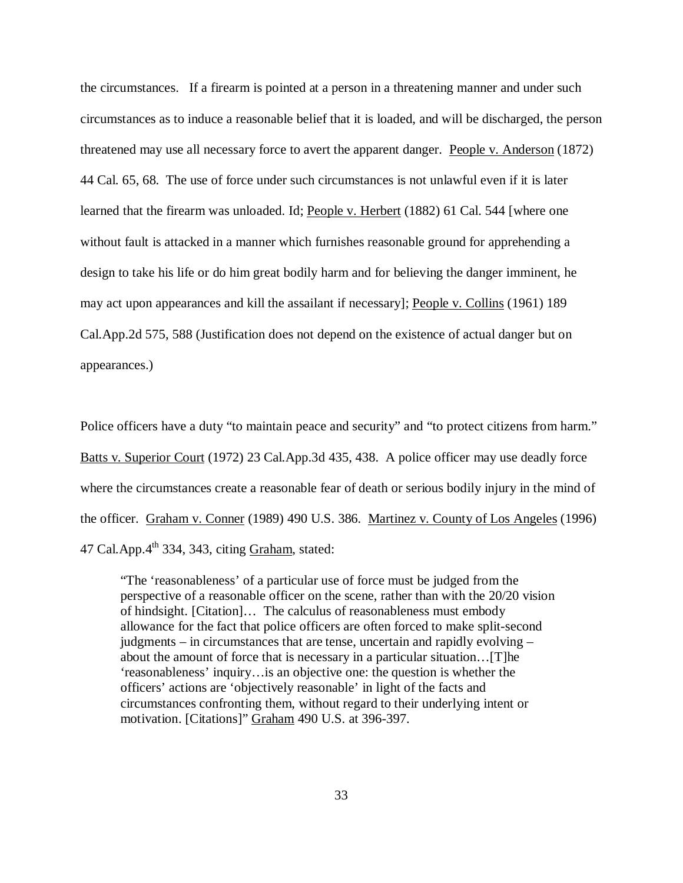the circumstances. If a firearm is pointed at a person in a threatening manner and under such circumstances as to induce a reasonable belief that it is loaded, and will be discharged, the person threatened may use all necessary force to avert the apparent danger. People v. Anderson (1872) 44 Cal. 65, 68. The use of force under such circumstances is not unlawful even if it is later learned that the firearm was unloaded. Id; People v. Herbert (1882) 61 Cal. 544 [where one without fault is attacked in a manner which furnishes reasonable ground for apprehending a design to take his life or do him great bodily harm and for believing the danger imminent, he may act upon appearances and kill the assailant if necessary]; People v. Collins (1961) 189 Cal.App.2d 575, 588 (Justification does not depend on the existence of actual danger but on appearances.)

Police officers have a duty "to maintain peace and security" and "to protect citizens from harm." Batts v. Superior Court (1972) 23 Cal.App.3d 435, 438. A police officer may use deadly force where the circumstances create a reasonable fear of death or serious bodily injury in the mind of the officer. Graham v. Conner (1989) 490 U.S. 386. Martinez v. County of Los Angeles (1996) 47 Cal.App. $4^{th}$  334, 343, citing Graham, stated:

"The 'reasonableness' of a particular use of force must be judged from the perspective of a reasonable officer on the scene, rather than with the 20/20 vision of hindsight. [Citation]… The calculus of reasonableness must embody allowance for the fact that police officers are often forced to make split-second judgments – in circumstances that are tense, uncertain and rapidly evolving – about the amount of force that is necessary in a particular situation…[T]he 'reasonableness' inquiry…is an objective one: the question is whether the officers' actions are 'objectively reasonable' in light of the facts and circumstances confronting them, without regard to their underlying intent or motivation. [Citations]" Graham 490 U.S. at 396-397.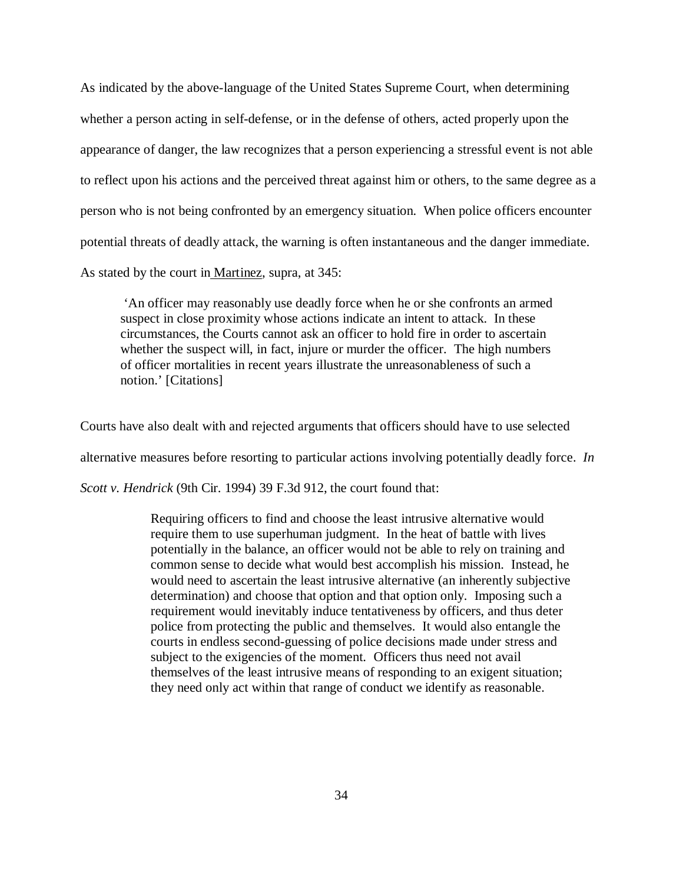As indicated by the above-language of the United States Supreme Court, when determining whether a person acting in self-defense, or in the defense of others, acted properly upon the appearance of danger, the law recognizes that a person experiencing a stressful event is not able to reflect upon his actions and the perceived threat against him or others, to the same degree as a person who is not being confronted by an emergency situation. When police officers encounter potential threats of deadly attack, the warning is often instantaneous and the danger immediate. As stated by the court in Martinez, supra, at 345:

 'An officer may reasonably use deadly force when he or she confronts an armed suspect in close proximity whose actions indicate an intent to attack. In these circumstances, the Courts cannot ask an officer to hold fire in order to ascertain whether the suspect will, in fact, injure or murder the officer. The high numbers of officer mortalities in recent years illustrate the unreasonableness of such a notion.' [Citations]

Courts have also dealt with and rejected arguments that officers should have to use selected alternative measures before resorting to particular actions involving potentially deadly force. *In Scott v. Hendrick* (9th Cir. 1994) 39 F.3d 912, the court found that:

> Requiring officers to find and choose the least intrusive alternative would require them to use superhuman judgment. In the heat of battle with lives potentially in the balance, an officer would not be able to rely on training and common sense to decide what would best accomplish his mission. Instead, he would need to ascertain the least intrusive alternative (an inherently subjective determination) and choose that option and that option only. Imposing such a requirement would inevitably induce tentativeness by officers, and thus deter police from protecting the public and themselves. It would also entangle the courts in endless second-guessing of police decisions made under stress and subject to the exigencies of the moment. Officers thus need not avail themselves of the least intrusive means of responding to an exigent situation; they need only act within that range of conduct we identify as reasonable.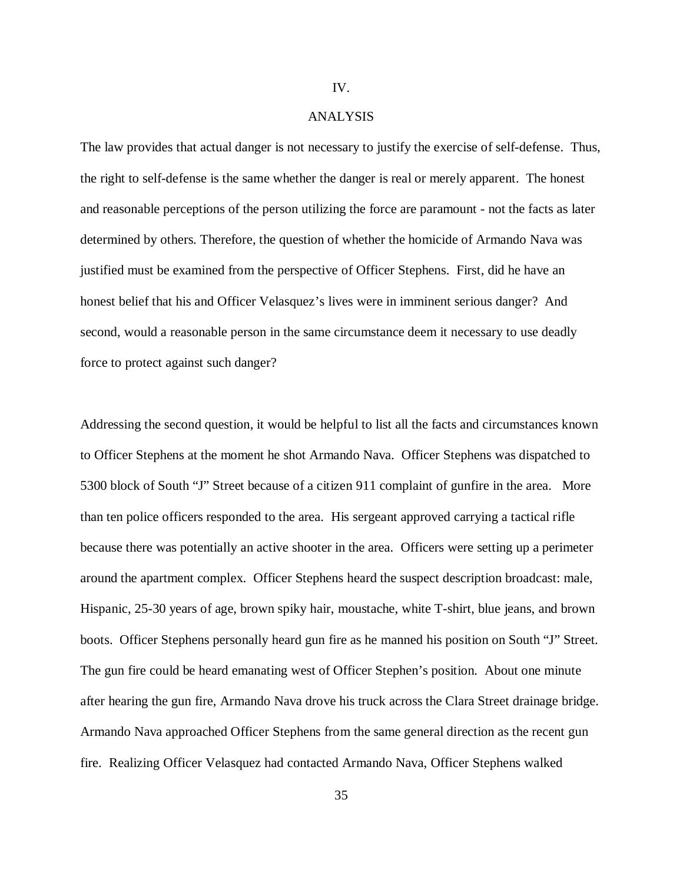## IV.

## ANALYSIS

The law provides that actual danger is not necessary to justify the exercise of self-defense. Thus, the right to self-defense is the same whether the danger is real or merely apparent. The honest and reasonable perceptions of the person utilizing the force are paramount - not the facts as later determined by others. Therefore, the question of whether the homicide of Armando Nava was justified must be examined from the perspective of Officer Stephens. First, did he have an honest belief that his and Officer Velasquez's lives were in imminent serious danger? And second, would a reasonable person in the same circumstance deem it necessary to use deadly force to protect against such danger?

Addressing the second question, it would be helpful to list all the facts and circumstances known to Officer Stephens at the moment he shot Armando Nava. Officer Stephens was dispatched to 5300 block of South "J" Street because of a citizen 911 complaint of gunfire in the area. More than ten police officers responded to the area. His sergeant approved carrying a tactical rifle because there was potentially an active shooter in the area. Officers were setting up a perimeter around the apartment complex. Officer Stephens heard the suspect description broadcast: male, Hispanic, 25-30 years of age, brown spiky hair, moustache, white T-shirt, blue jeans, and brown boots. Officer Stephens personally heard gun fire as he manned his position on South "J" Street. The gun fire could be heard emanating west of Officer Stephen's position. About one minute after hearing the gun fire, Armando Nava drove his truck across the Clara Street drainage bridge. Armando Nava approached Officer Stephens from the same general direction as the recent gun fire. Realizing Officer Velasquez had contacted Armando Nava, Officer Stephens walked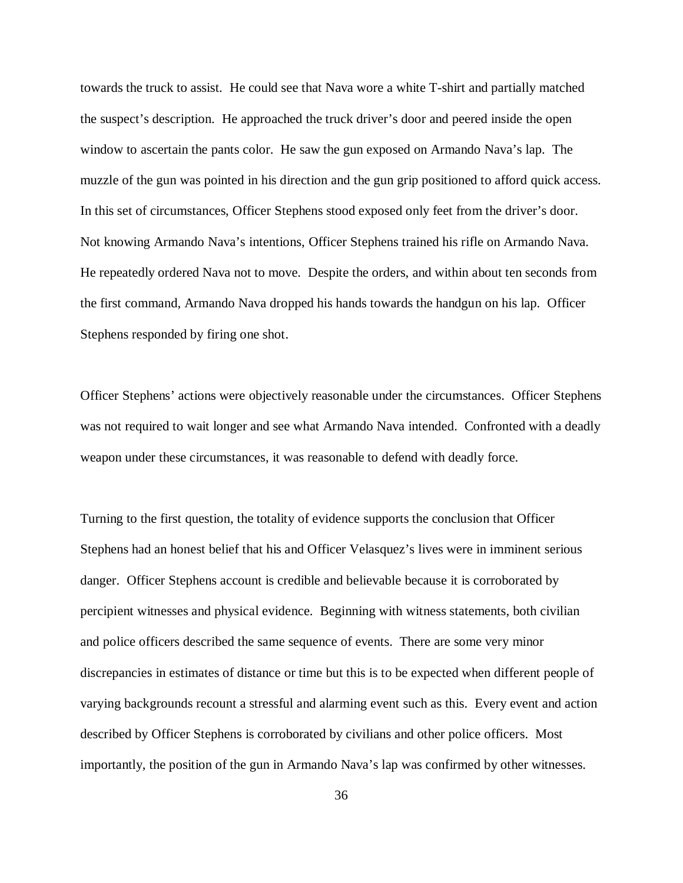towards the truck to assist. He could see that Nava wore a white T-shirt and partially matched the suspect's description. He approached the truck driver's door and peered inside the open window to ascertain the pants color. He saw the gun exposed on Armando Nava's lap. The muzzle of the gun was pointed in his direction and the gun grip positioned to afford quick access. In this set of circumstances, Officer Stephens stood exposed only feet from the driver's door. Not knowing Armando Nava's intentions, Officer Stephens trained his rifle on Armando Nava. He repeatedly ordered Nava not to move. Despite the orders, and within about ten seconds from the first command, Armando Nava dropped his hands towards the handgun on his lap. Officer Stephens responded by firing one shot.

Officer Stephens' actions were objectively reasonable under the circumstances. Officer Stephens was not required to wait longer and see what Armando Nava intended. Confronted with a deadly weapon under these circumstances, it was reasonable to defend with deadly force.

Turning to the first question, the totality of evidence supports the conclusion that Officer Stephens had an honest belief that his and Officer Velasquez's lives were in imminent serious danger. Officer Stephens account is credible and believable because it is corroborated by percipient witnesses and physical evidence. Beginning with witness statements, both civilian and police officers described the same sequence of events. There are some very minor discrepancies in estimates of distance or time but this is to be expected when different people of varying backgrounds recount a stressful and alarming event such as this. Every event and action described by Officer Stephens is corroborated by civilians and other police officers. Most importantly, the position of the gun in Armando Nava's lap was confirmed by other witnesses.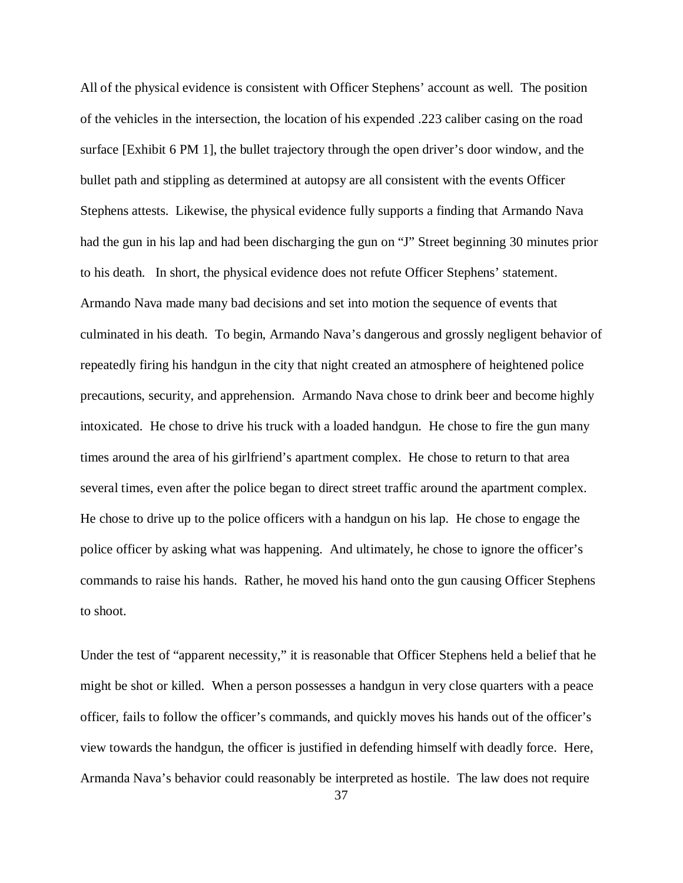All of the physical evidence is consistent with Officer Stephens' account as well. The position of the vehicles in the intersection, the location of his expended .223 caliber casing on the road surface [Exhibit 6 PM 1], the bullet trajectory through the open driver's door window, and the bullet path and stippling as determined at autopsy are all consistent with the events Officer Stephens attests. Likewise, the physical evidence fully supports a finding that Armando Nava had the gun in his lap and had been discharging the gun on "J" Street beginning 30 minutes prior to his death. In short, the physical evidence does not refute Officer Stephens' statement. Armando Nava made many bad decisions and set into motion the sequence of events that culminated in his death. To begin, Armando Nava's dangerous and grossly negligent behavior of repeatedly firing his handgun in the city that night created an atmosphere of heightened police precautions, security, and apprehension. Armando Nava chose to drink beer and become highly intoxicated. He chose to drive his truck with a loaded handgun. He chose to fire the gun many times around the area of his girlfriend's apartment complex. He chose to return to that area several times, even after the police began to direct street traffic around the apartment complex. He chose to drive up to the police officers with a handgun on his lap. He chose to engage the police officer by asking what was happening. And ultimately, he chose to ignore the officer's commands to raise his hands. Rather, he moved his hand onto the gun causing Officer Stephens to shoot.

Under the test of "apparent necessity," it is reasonable that Officer Stephens held a belief that he might be shot or killed. When a person possesses a handgun in very close quarters with a peace officer, fails to follow the officer's commands, and quickly moves his hands out of the officer's view towards the handgun, the officer is justified in defending himself with deadly force. Here, Armanda Nava's behavior could reasonably be interpreted as hostile. The law does not require